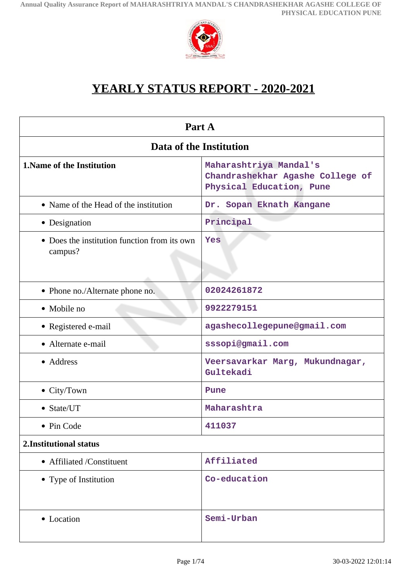

# **YEARLY STATUS REPORT - 2020-2021**

| Part A                                                  |                                                                                        |  |
|---------------------------------------------------------|----------------------------------------------------------------------------------------|--|
| Data of the Institution                                 |                                                                                        |  |
| <b>1. Name of the Institution</b>                       | Maharashtriya Mandal's<br>Chandrashekhar Agashe College of<br>Physical Education, Pune |  |
| • Name of the Head of the institution                   | Dr. Sopan Eknath Kangane                                                               |  |
| • Designation                                           | Principal                                                                              |  |
| • Does the institution function from its own<br>campus? | Yes                                                                                    |  |
| • Phone no./Alternate phone no.                         | 02024261872                                                                            |  |
| • Mobile no                                             | 9922279151                                                                             |  |
| • Registered e-mail                                     | agashecollegepune@gmail.com                                                            |  |
| • Alternate e-mail                                      | sssopi@gmail.com                                                                       |  |
| • Address                                               | Veersavarkar Marg, Mukundnagar,<br>Gultekadi                                           |  |
| • City/Town                                             | Pune                                                                                   |  |
| • State/UT                                              | Maharashtra                                                                            |  |
| Pin Code                                                | 411037                                                                                 |  |
| 2. Institutional status                                 |                                                                                        |  |
| • Affiliated /Constituent                               | Affiliated                                                                             |  |
| • Type of Institution                                   | Co-education                                                                           |  |
| • Location                                              | Semi-Urban                                                                             |  |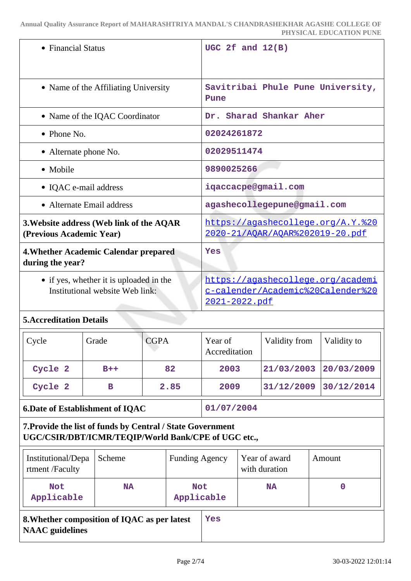| • Financial Status                                                         | UGC 2f and $12(B)$                                                                                    |
|----------------------------------------------------------------------------|-------------------------------------------------------------------------------------------------------|
| • Name of the Affiliating University                                       | Savitribai Phule Pune University,<br>Pune                                                             |
| • Name of the IQAC Coordinator                                             | Dr. Sharad Shankar Aher                                                                               |
| $\bullet$ Phone No.                                                        | 02024261872                                                                                           |
| • Alternate phone No.                                                      | 02029511474                                                                                           |
| • Mobile                                                                   | 9890025266                                                                                            |
| • IQAC e-mail address                                                      | iqaccacpe@gmail.com                                                                                   |
| • Alternate Email address                                                  | agashecollegepune@gmail.com                                                                           |
| 3. Website address (Web link of the AQAR<br>(Previous Academic Year)       | https://agashecollege.org/A.Y. %20<br>2020-21/AQAR/AQAR%202019-20.pdf                                 |
| 4. Whether Academic Calendar prepared<br>during the year?                  | Yes                                                                                                   |
| • if yes, whether it is uploaded in the<br>Institutional website Web link: | https://agashecollege.org/academi<br><u>c-calender/Academic%20Calender%20</u><br><u>2021-2022.pdf</u> |
|                                                                            |                                                                                                       |

### **5.Accreditation Details**

| $\vert$ Cycle | Grade | <b>CGPA</b> | Year of<br>Accreditation | Validity from | Validity to |
|---------------|-------|-------------|--------------------------|---------------|-------------|
| Cycle 2       | $B++$ | 82          | 2003                     | 21/03/2003    | 20/03/2009  |
| Cycle 2       | в     | 2.85        | 2009                     | 31/12/2009    | 30/12/2014  |

### **6.Date of Establishment of IQAC 01/07/2004**

# **7.Provide the list of funds by Central / State Government UGC/CSIR/DBT/ICMR/TEQIP/World Bank/CPE of UGC etc.,**

| Institutional/Depa<br>rtment/Faculty                                   | Scheme    | <b>Funding Agency</b>    |     | Year of award<br>with duration | Amount |
|------------------------------------------------------------------------|-----------|--------------------------|-----|--------------------------------|--------|
| <b>Not</b><br>Applicable                                               | <b>NA</b> | <b>Not</b><br>Applicable |     | <b>NA</b>                      | 0      |
| 8. Whether composition of IQAC as per latest<br><b>NAAC</b> guidelines |           |                          | Yes |                                |        |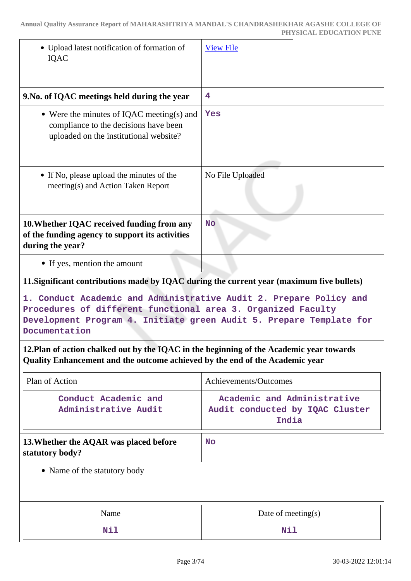|                                                                                                                                                                                                                            | PHYSICAL EDUCATION PUNE                                                 |  |  |
|----------------------------------------------------------------------------------------------------------------------------------------------------------------------------------------------------------------------------|-------------------------------------------------------------------------|--|--|
| • Upload latest notification of formation of<br><b>IQAC</b>                                                                                                                                                                | <b>View File</b>                                                        |  |  |
| 9. No. of IQAC meetings held during the year                                                                                                                                                                               | 4                                                                       |  |  |
| • Were the minutes of IQAC meeting(s) and<br>compliance to the decisions have been<br>uploaded on the institutional website?                                                                                               | Yes                                                                     |  |  |
| • If No, please upload the minutes of the<br>meeting(s) and Action Taken Report                                                                                                                                            | No File Uploaded                                                        |  |  |
| 10. Whether IQAC received funding from any<br>of the funding agency to support its activities<br>during the year?                                                                                                          | <b>No</b>                                                               |  |  |
| • If yes, mention the amount                                                                                                                                                                                               |                                                                         |  |  |
| 11. Significant contributions made by IQAC during the current year (maximum five bullets)                                                                                                                                  |                                                                         |  |  |
| 1. Conduct Academic and Administrative Audit 2. Prepare Policy and<br>Procedures of different functional area 3. Organized Faculty<br>Development Program 4. Initiate green Audit 5. Prepare Template for<br>Documentation |                                                                         |  |  |
| 12. Plan of action chalked out by the IQAC in the beginning of the Academic year towards<br>Quality Enhancement and the outcome achieved by the end of the Academic year                                                   |                                                                         |  |  |
| Plan of Action                                                                                                                                                                                                             | Achievements/Outcomes                                                   |  |  |
| Conduct Academic and<br>Administrative Audit                                                                                                                                                                               | Academic and Administrative<br>Audit conducted by IQAC Cluster<br>India |  |  |
| 13. Whether the AQAR was placed before<br>statutory body?                                                                                                                                                                  | <b>No</b>                                                               |  |  |
| • Name of the statutory body                                                                                                                                                                                               |                                                                         |  |  |

| Name | Date of meeting $(s)$ |
|------|-----------------------|
| Nil  | Nil                   |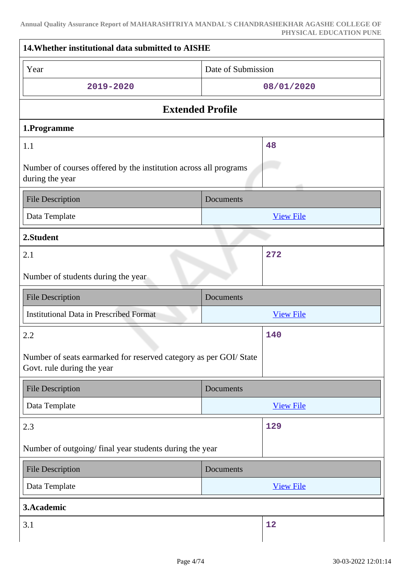| 14. Whether institutional data submitted to AISHE                                               |                    |  |  |
|-------------------------------------------------------------------------------------------------|--------------------|--|--|
| Year                                                                                            | Date of Submission |  |  |
| 2019-2020                                                                                       | 08/01/2020         |  |  |
| <b>Extended Profile</b>                                                                         |                    |  |  |
| 1.Programme                                                                                     |                    |  |  |
| 1.1<br>48                                                                                       |                    |  |  |
| Number of courses offered by the institution across all programs<br>during the year             |                    |  |  |
| <b>File Description</b>                                                                         | Documents          |  |  |
| Data Template                                                                                   | <b>View File</b>   |  |  |
| 2.Student                                                                                       |                    |  |  |
| 2.1                                                                                             | 272                |  |  |
| Number of students during the year                                                              |                    |  |  |
|                                                                                                 |                    |  |  |
| <b>File Description</b>                                                                         | Documents          |  |  |
| <b>Institutional Data in Prescribed Format</b>                                                  | <b>View File</b>   |  |  |
| 2.2                                                                                             | 140                |  |  |
| Number of seats earmarked for reserved category as per GOI/ State<br>Govt. rule during the year |                    |  |  |
| <b>File Description</b>                                                                         | <b>Documents</b>   |  |  |
| Data Template                                                                                   | <b>View File</b>   |  |  |
| 2.3                                                                                             | 129                |  |  |
| Number of outgoing/final year students during the year                                          |                    |  |  |
| <b>File Description</b>                                                                         | Documents          |  |  |
| Data Template                                                                                   | <b>View File</b>   |  |  |
| 3.Academic                                                                                      |                    |  |  |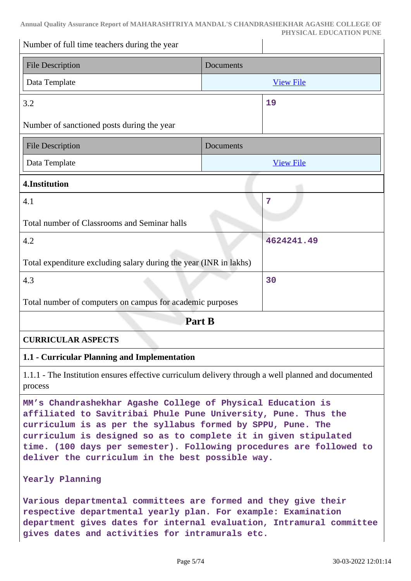| Number of full time teachers during the year                                                                   |                  |            |  |  |
|----------------------------------------------------------------------------------------------------------------|------------------|------------|--|--|
| <b>File Description</b>                                                                                        | Documents        |            |  |  |
| Data Template                                                                                                  | <b>View File</b> |            |  |  |
| 3.2                                                                                                            |                  |            |  |  |
| Number of sanctioned posts during the year                                                                     |                  |            |  |  |
| <b>File Description</b>                                                                                        | Documents        |            |  |  |
| Data Template                                                                                                  | <b>View File</b> |            |  |  |
| 4.Institution                                                                                                  |                  |            |  |  |
| 4.1                                                                                                            |                  | 7          |  |  |
| Total number of Classrooms and Seminar halls                                                                   |                  |            |  |  |
| 4.2                                                                                                            |                  | 4624241.49 |  |  |
| Total expenditure excluding salary during the year (INR in lakhs)                                              |                  |            |  |  |
| 4.3                                                                                                            |                  | 30         |  |  |
| Total number of computers on campus for academic purposes                                                      |                  |            |  |  |
| Part B                                                                                                         |                  |            |  |  |
| <b>CURRICULAR ASPECTS</b>                                                                                      |                  |            |  |  |
| 1.1 - Curricular Planning and Implementation                                                                   |                  |            |  |  |
| 1.1.1 - The Institution ensures effective curriculum delivery through a well planned and documented<br>process |                  |            |  |  |
|                                                                                                                |                  |            |  |  |

**MM's Chandrashekhar Agashe College of Physical Education is affiliated to Savitribai Phule Pune University, Pune. Thus the curriculum is as per the syllabus formed by SPPU, Pune. The curriculum is designed so as to complete it in given stipulated time. (100 days per semester). Following procedures are followed to deliver the curriculum in the best possible way.**

#### **Yearly Planning**

**Various departmental committees are formed and they give their respective departmental yearly plan. For example: Examination department gives dates for internal evaluation, Intramural committee gives dates and activities for intramurals etc.**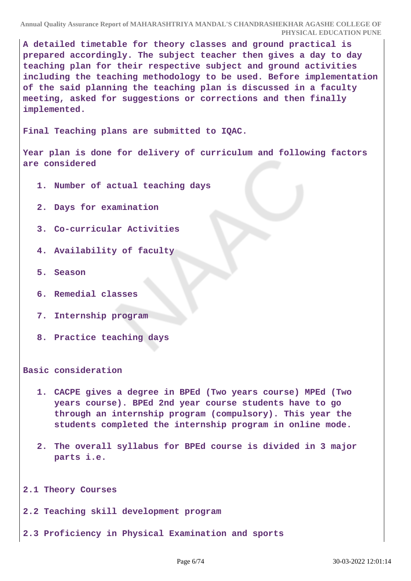**A detailed timetable for theory classes and ground practical is prepared accordingly. The subject teacher then gives a day to day teaching plan for their respective subject and ground activities including the teaching methodology to be used. Before implementation of the said planning the teaching plan is discussed in a faculty meeting, asked for suggestions or corrections and then finally implemented.**

**Final Teaching plans are submitted to IQAC.**

**Year plan is done for delivery of curriculum and following factors are considered**

- **1. Number of actual teaching days**
- **2. Days for examination**
- **3. Co-curricular Activities**
- **4. Availability of faculty**
- **5. Season**
- **6. Remedial classes**
- **7. Internship program**
- **8. Practice teaching days**

**Basic consideration**

- **1. CACPE gives a degree in BPEd (Two years course) MPEd (Two years course). BPEd 2nd year course students have to go through an internship program (compulsory). This year the students completed the internship program in online mode.**
- **2. The overall syllabus for BPEd course is divided in 3 major parts i.e.**

**2.1 Theory Courses**

**2.2 Teaching skill development program**

**2.3 Proficiency in Physical Examination and sports**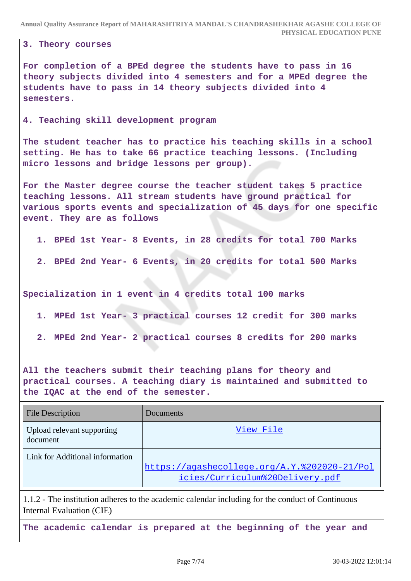**3. Theory courses**

**For completion of a BPEd degree the students have to pass in 16 theory subjects divided into 4 semesters and for a MPEd degree the students have to pass in 14 theory subjects divided into 4 semesters.**

**4. Teaching skill development program**

**The student teacher has to practice his teaching skills in a school setting. He has to take 66 practice teaching lessons. (Including micro lessons and bridge lessons per group).**

**For the Master degree course the teacher student takes 5 practice teaching lessons. All stream students have ground practical for various sports events and specialization of 45 days for one specific event. They are as follows**

- **1. BPEd 1st Year- 8 Events, in 28 credits for total 700 Marks**
- **2. BPEd 2nd Year- 6 Events, in 20 credits for total 500 Marks**

**Specialization in 1 event in 4 credits total 100 marks**

- **1. MPEd 1st Year- 3 practical courses 12 credit for 300 marks**
- **2. MPEd 2nd Year- 2 practical courses 8 credits for 200 marks**

**All the teachers submit their teaching plans for theory and practical courses. A teaching diary is maintained and submitted to the IQAC at the end of the semester.**

| <b>File Description</b>                | <b>Documents</b>                                                                |
|----------------------------------------|---------------------------------------------------------------------------------|
| Upload relevant supporting<br>document | View File                                                                       |
| Link for Additional information        | https://agashecollege.org/A.Y.%202020-21/Pol<br>icies/Curriculum%20Delivery.pdf |

1.1.2 - The institution adheres to the academic calendar including for the conduct of Continuous Internal Evaluation (CIE)

**The academic calendar is prepared at the beginning of the year and**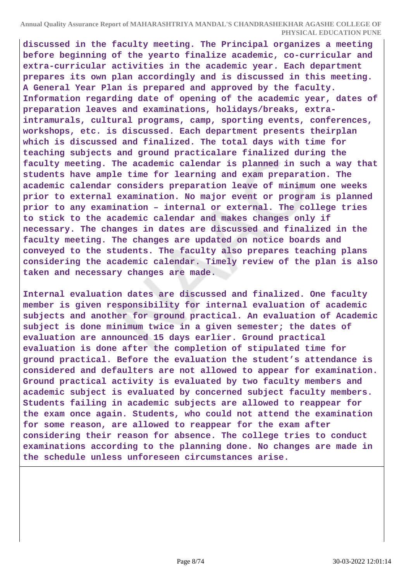**discussed in the faculty meeting. The Principal organizes a meeting before beginning of the yearto finalize academic, co-curricular and extra-curricular activities in the academic year. Each department prepares its own plan accordingly and is discussed in this meeting. A General Year Plan is prepared and approved by the faculty. Information regarding date of opening of the academic year, dates of preparation leaves and examinations, holidays/breaks, extraintramurals, cultural programs, camp, sporting events, conferences, workshops, etc. is discussed. Each department presents theirplan which is discussed and finalized. The total days with time for teaching subjects and ground practicalare finalized during the faculty meeting. The academic calendar is planned in such a way that students have ample time for learning and exam preparation. The academic calendar considers preparation leave of minimum one weeks prior to external examination. No major event or program is planned prior to any examination – internal or external. The college tries to stick to the academic calendar and makes changes only if necessary. The changes in dates are discussed and finalized in the faculty meeting. The changes are updated on notice boards and conveyed to the students. The faculty also prepares teaching plans considering the academic calendar. Timely review of the plan is also taken and necessary changes are made.**

**Internal evaluation dates are discussed and finalized. One faculty member is given responsibility for internal evaluation of academic subjects and another for ground practical. An evaluation of Academic subject is done minimum twice in a given semester; the dates of evaluation are announced 15 days earlier. Ground practical evaluation is done after the completion of stipulated time for ground practical. Before the evaluation the student's attendance is considered and defaulters are not allowed to appear for examination. Ground practical activity is evaluated by two faculty members and academic subject is evaluated by concerned subject faculty members. Students failing in academic subjects are allowed to reappear for the exam once again. Students, who could not attend the examination for some reason, are allowed to reappear for the exam after considering their reason for absence. The college tries to conduct examinations according to the planning done. No changes are made in the schedule unless unforeseen circumstances arise.**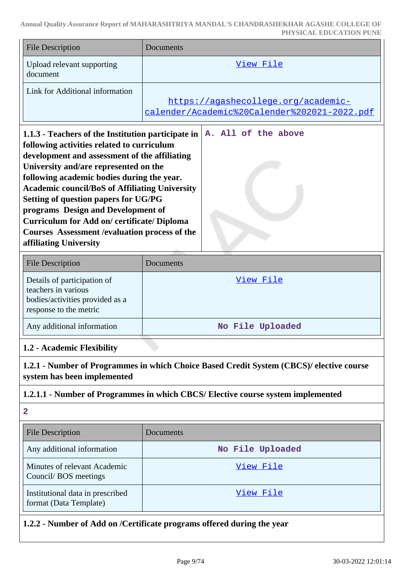| <b>File Description</b>                | Documents                                                                           |
|----------------------------------------|-------------------------------------------------------------------------------------|
| Upload relevant supporting<br>document | View File                                                                           |
| Link for Additional information        | https://agashecollege.org/academic-<br>calender/Academic%20Calender%202021-2022.pdf |

| 1.1.3 - Teachers of the Institution participate in    |  |  | A. All of the above |
|-------------------------------------------------------|--|--|---------------------|
| following activities related to curriculum            |  |  |                     |
| development and assessment of the affiliating         |  |  |                     |
| University and/are represented on the                 |  |  |                     |
| following academic bodies during the year.            |  |  |                     |
| <b>Academic council/BoS of Affiliating University</b> |  |  |                     |
| Setting of question papers for UG/PG                  |  |  |                     |
| programs Design and Development of                    |  |  |                     |
| <b>Curriculum for Add on/ certificate/ Diploma</b>    |  |  |                     |
| Courses Assessment / evaluation process of the        |  |  |                     |
| affiliating University                                |  |  |                     |

| <b>File Description</b>                                                                                         | Documents        |
|-----------------------------------------------------------------------------------------------------------------|------------------|
| Details of participation of<br>teachers in various<br>bodies/activities provided as a<br>response to the metric | View File        |
| Any additional information                                                                                      | No File Uploaded |

### **1.2 - Academic Flexibility**

**1.2.1 - Number of Programmes in which Choice Based Credit System (CBCS)/ elective course system has been implemented**

#### **1.2.1.1 - Number of Programmes in which CBCS/ Elective course system implemented**

**2**

| <b>File Description</b>                                    | <b>Documents</b> |
|------------------------------------------------------------|------------------|
| Any additional information                                 | No File Uploaded |
| Minutes of relevant Academic<br>Council/BOS meetings       | View File        |
| Institutional data in prescribed<br>format (Data Template) | View File        |

**1.2.2 - Number of Add on /Certificate programs offered during the year**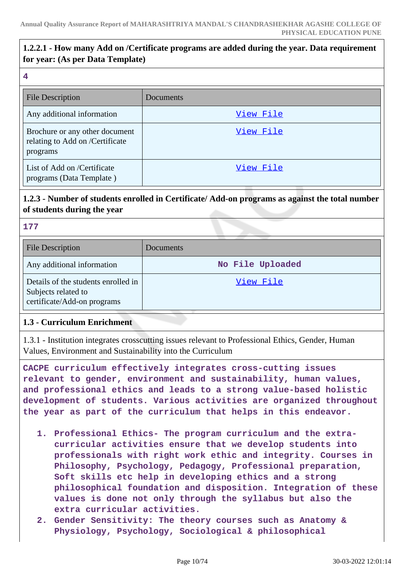### **1.2.2.1 - How many Add on /Certificate programs are added during the year. Data requirement for year: (As per Data Template)**

#### **4**

| <b>File Description</b>                                                       | Documents |
|-------------------------------------------------------------------------------|-----------|
| Any additional information                                                    | View File |
| Brochure or any other document<br>relating to Add on /Certificate<br>programs | View File |
| List of Add on /Certificate<br>programs (Data Template)                       | View File |

### **1.2.3 - Number of students enrolled in Certificate/ Add-on programs as against the total number of students during the year**

#### **177**

| <b>File Description</b>                                                                   | Documents        |
|-------------------------------------------------------------------------------------------|------------------|
| Any additional information                                                                | No File Uploaded |
| Details of the students enrolled in<br>Subjects related to<br>certificate/Add-on programs | View File        |

### **1.3 - Curriculum Enrichment**

1.3.1 - Institution integrates crosscutting issues relevant to Professional Ethics, Gender, Human Values, Environment and Sustainability into the Curriculum

**CACPE curriculum effectively integrates cross-cutting issues relevant to gender, environment and sustainability, human values, and professional ethics and leads to a strong value-based holistic development of students. Various activities are organized throughout the year as part of the curriculum that helps in this endeavor.**

- **1. Professional Ethics- The program curriculum and the extracurricular activities ensure that we develop students into professionals with right work ethic and integrity. Courses in Philosophy, Psychology, Pedagogy, Professional preparation, Soft skills etc help in developing ethics and a strong philosophical foundation and disposition. Integration of these values is done not only through the syllabus but also the extra curricular activities.**
- **2. Gender Sensitivity: The theory courses such as Anatomy & Physiology, Psychology, Sociological & philosophical**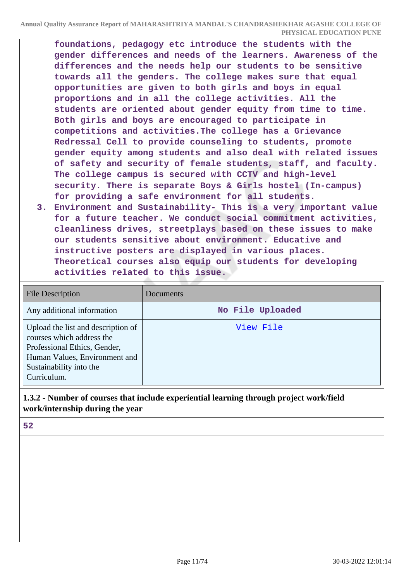**foundations, pedagogy etc introduce the students with the gender differences and needs of the learners. Awareness of the differences and the needs help our students to be sensitive towards all the genders. The college makes sure that equal opportunities are given to both girls and boys in equal proportions and in all the college activities. All the students are oriented about gender equity from time to time. Both girls and boys are encouraged to participate in competitions and activities.The college has a Grievance Redressal Cell to provide counseling to students, promote gender equity among students and also deal with related issues of safety and security of female students, staff, and faculty. The college campus is secured with CCTV and high-level security. There is separate Boys & Girls hostel (In-campus) for providing a safe environment for all students.**

**3. Environment and Sustainability- This is a very important value for a future teacher. We conduct social commitment activities, cleanliness drives, streetplays based on these issues to make our students sensitive about environment. Educative and instructive posters are displayed in various places. Theoretical courses also equip our students for developing activities related to this issue.**

| <b>File Description</b>                                                                                                                                                    | Documents        |
|----------------------------------------------------------------------------------------------------------------------------------------------------------------------------|------------------|
| Any additional information                                                                                                                                                 | No File Uploaded |
| Upload the list and description of<br>courses which address the<br>Professional Ethics, Gender,<br>Human Values, Environment and<br>Sustainability into the<br>Curriculum. | View File        |

### **1.3.2 - Number of courses that include experiential learning through project work/field work/internship during the year**

**52**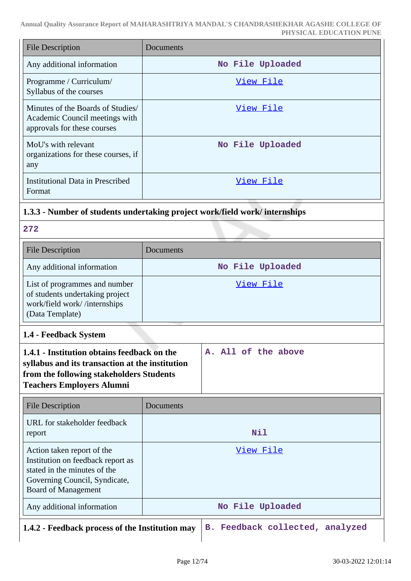| File Description                                                                                   | Documents        |
|----------------------------------------------------------------------------------------------------|------------------|
| Any additional information                                                                         | No File Uploaded |
| Programme / Curriculum/<br>Syllabus of the courses                                                 | View File        |
| Minutes of the Boards of Studies/<br>Academic Council meetings with<br>approvals for these courses | View File        |
| MoU's with relevant<br>organizations for these courses, if<br>any                                  | No File Uploaded |
| <b>Institutional Data in Prescribed</b><br>Format                                                  | View File        |

# **1.3.3 - Number of students undertaking project work/field work/ internships**

**272**

| <b>File Description</b>                                                                                             | Documents        |
|---------------------------------------------------------------------------------------------------------------------|------------------|
| Any additional information                                                                                          | No File Uploaded |
| List of programmes and number<br>of students undertaking project<br>work/field work//internships<br>(Data Template) | View File        |

**1.4 - Feedback System**

| 1.4.1 - Institution obtains feedback on the     |  |  | A. All of the above |
|-------------------------------------------------|--|--|---------------------|
| syllabus and its transaction at the institution |  |  |                     |
| from the following stakeholders Students        |  |  |                     |
| <b>Teachers Employers Alumni</b>                |  |  |                     |
|                                                 |  |  |                     |

| File Description                                                                                                                                        | Documents        |
|---------------------------------------------------------------------------------------------------------------------------------------------------------|------------------|
| URL for stakeholder feedback<br>report                                                                                                                  | Nil              |
| Action taken report of the<br>Institution on feedback report as<br>stated in the minutes of the<br>Governing Council, Syndicate,<br>Board of Management | View File        |
| Any additional information                                                                                                                              | No File Uploaded |
| 1.4.2. Escalhos researces of the Institution move                                                                                                       | analwrad<br>D    |

**1.4.2 - Feedback process of the Institution may B. Feedback collected, analyzed**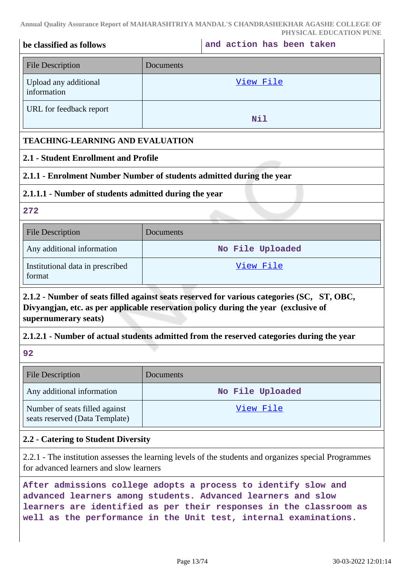| be classified as follows                                                                                                                                                                                  | PHYSICAL EDUCATION PUNE<br>and action has been taken                                      |  |  |  |  |
|-----------------------------------------------------------------------------------------------------------------------------------------------------------------------------------------------------------|-------------------------------------------------------------------------------------------|--|--|--|--|
| <b>File Description</b>                                                                                                                                                                                   | Documents                                                                                 |  |  |  |  |
| Upload any additional<br>information                                                                                                                                                                      | <u>View File</u>                                                                          |  |  |  |  |
| URL for feedback report                                                                                                                                                                                   | Nil                                                                                       |  |  |  |  |
|                                                                                                                                                                                                           | <b>TEACHING-LEARNING AND EVALUATION</b>                                                   |  |  |  |  |
| 2.1 - Student Enrollment and Profile                                                                                                                                                                      |                                                                                           |  |  |  |  |
|                                                                                                                                                                                                           | 2.1.1 - Enrolment Number Number of students admitted during the year                      |  |  |  |  |
| 2.1.1.1 - Number of students admitted during the year                                                                                                                                                     |                                                                                           |  |  |  |  |
| 272                                                                                                                                                                                                       |                                                                                           |  |  |  |  |
| <b>File Description</b>                                                                                                                                                                                   | Documents                                                                                 |  |  |  |  |
| Any additional information                                                                                                                                                                                | No File Uploaded                                                                          |  |  |  |  |
| Institutional data in prescribed<br>format                                                                                                                                                                | View File                                                                                 |  |  |  |  |
| 2.1.2 - Number of seats filled against seats reserved for various categories (SC, ST, OBC,<br>Divyangjan, etc. as per applicable reservation policy during the year (exclusive of<br>supernumerary seats) |                                                                                           |  |  |  |  |
|                                                                                                                                                                                                           | 2.1.2.1 - Number of actual students admitted from the reserved categories during the year |  |  |  |  |
| 92                                                                                                                                                                                                        |                                                                                           |  |  |  |  |
| <b>File Description</b>                                                                                                                                                                                   | Documents                                                                                 |  |  |  |  |
| Any additional information                                                                                                                                                                                | No File Uploaded                                                                          |  |  |  |  |
| Number of seats filled against<br>seats reserved (Data Template)                                                                                                                                          | <u>View File</u>                                                                          |  |  |  |  |
| 2.2 - Catering to Student Diversity                                                                                                                                                                       |                                                                                           |  |  |  |  |
| 2.2.1 - The institution assesses the learning levels of the students and organizes special Programmes<br>for advanced learners and slow learners                                                          |                                                                                           |  |  |  |  |

**After admissions college adopts a process to identify slow and advanced learners among students. Advanced learners and slow learners are identified as per their responses in the classroom as well as the performance in the Unit test, internal examinations.**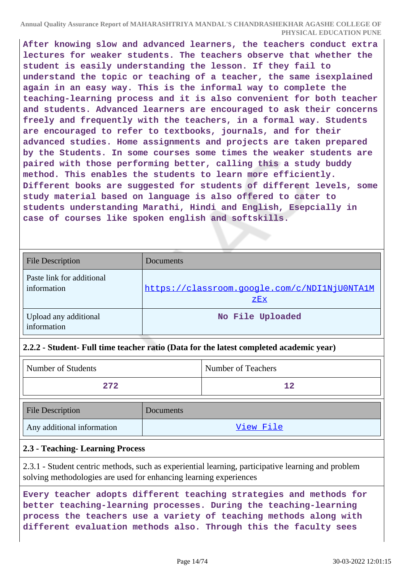**After knowing slow and advanced learners, the teachers conduct extra lectures for weaker students. The teachers observe that whether the student is easily understanding the lesson. If they fail to understand the topic or teaching of a teacher, the same isexplained again in an easy way. This is the informal way to complete the teaching-learning process and it is also convenient for both teacher and students. Advanced learners are encouraged to ask their concerns freely and frequently with the teachers, in a formal way. Students are encouraged to refer to textbooks, journals, and for their advanced studies. Home assignments and projects are taken prepared by the Students. In some courses some times the weaker students are paired with those performing better, calling this a study buddy method. This enables the students to learn more efficiently. Different books are suggested for students of different levels, some study material based on language is also offered to cater to students understanding Marathi, Hindi and English, Esepcially in case of courses like spoken english and softskills.**

| <b>File Description</b>                  | Documents                                           |
|------------------------------------------|-----------------------------------------------------|
| Paste link for additional<br>information | https://classroom.google.com/c/NDI1NjU0NTA1M<br>ZEX |
| Upload any additional<br>information     | No File Uploaded                                    |

### **2.2.2 - Student- Full time teacher ratio (Data for the latest completed academic year)**

| Number of Students         |           | Number of Teachers |
|----------------------------|-----------|--------------------|
| 272                        |           | $12 \overline{ }$  |
| <b>File Description</b>    | Documents |                    |
| Any additional information | View File |                    |

### **2.3 - Teaching- Learning Process**

2.3.1 - Student centric methods, such as experiential learning, participative learning and problem solving methodologies are used for enhancing learning experiences

**Every teacher adopts different teaching strategies and methods for better teaching-learning processes. During the teaching-learning process the teachers use a variety of teaching methods along with different evaluation methods also. Through this the faculty sees**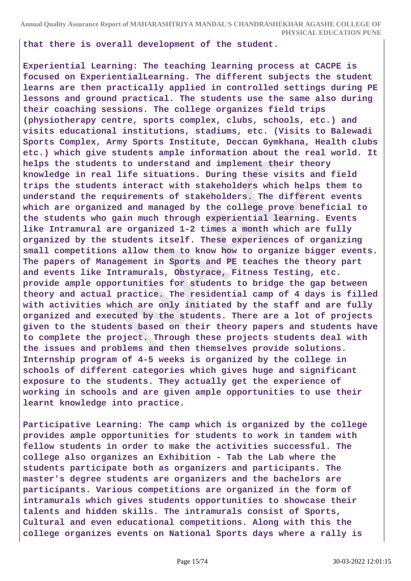**that there is overall development of the student.**

**Experiential Learning: The teaching learning process at CACPE is focused on ExperientialLearning. The different subjects the student learns are then practically applied in controlled settings during PE lessons and ground practical. The students use the same also during their coaching sessions. The college organizes field trips (physiotherapy centre, sports complex, clubs, schools, etc.) and visits educational institutions, stadiums, etc. (Visits to Balewadi Sports Complex, Army Sports Institute, Deccan Gymkhana, Health clubs etc.) which give students ample information about the real world. It helps the students to understand and implement their theory knowledge in real life situations. During these visits and field trips the students interact with stakeholders which helps them to understand the requirements of stakeholders. The different events which are organized and managed by the college prove beneficial to the students who gain much through experiential learning. Events like Intramural are organized 1-2 times a month which are fully organized by the students itself. These experiences of organizing small competitions allow them to know how to organize bigger events. The papers of Management in Sports and PE teaches the theory part and events like Intramurals, Obstyrace, Fitness Testing, etc. provide ample opportunities for students to bridge the gap between theory and actual practice. The residential camp of 4 days is filled with activities which are only initiated by the staff and are fully organized and executed by the students. There are a lot of projects given to the students based on their theory papers and students have to complete the project. Through these projects students deal with the issues and problems and then themselves provide solutions. Internship program of 4-5 weeks is organized by the college in schools of different categories which gives huge and significant exposure to the students. They actually get the experience of working in schools and are given ample opportunities to use their learnt knowledge into practice.**

**Participative Learning: The camp which is organized by the college provides ample opportunities for students to work in tandem with fellow students in order to make the activities successful. The college also organizes an Exhibition - Tab the Lab where the students participate both as organizers and participants. The master's degree students are organizers and the bachelors are participants. Various competitions are organized in the form of intramurals which gives students opportunities to showcase their talents and hidden skills. The intramurals consist of Sports, Cultural and even educational competitions. Along with this the college organizes events on National Sports days where a rally is**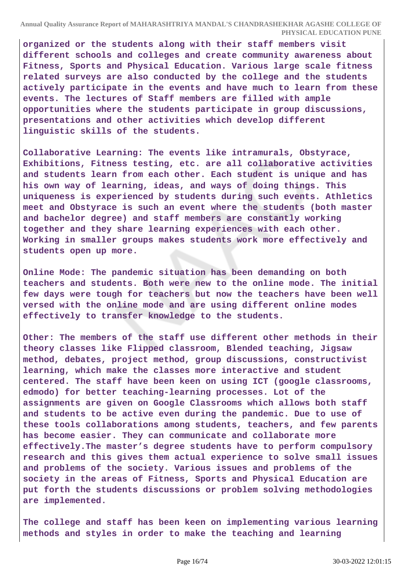**organized or the students along with their staff members visit different schools and colleges and create community awareness about Fitness, Sports and Physical Education. Various large scale fitness related surveys are also conducted by the college and the students actively participate in the events and have much to learn from these events. The lectures of Staff members are filled with ample opportunities where the students participate in group discussions, presentations and other activities which develop different linguistic skills of the students.**

**Collaborative Learning: The events like intramurals, Obstyrace, Exhibitions, Fitness testing, etc. are all collaborative activities and students learn from each other. Each student is unique and has his own way of learning, ideas, and ways of doing things. This uniqueness is experienced by students during such events. Athletics meet and Obstyrace is such an event where the students (both master and bachelor degree) and staff members are constantly working together and they share learning experiences with each other. Working in smaller groups makes students work more effectively and students open up more.**

**Online Mode: The pandemic situation has been demanding on both teachers and students. Both were new to the online mode. The initial few days were tough for teachers but now the teachers have been well versed with the online mode and are using different online modes effectively to transfer knowledge to the students.**

**Other: The members of the staff use different other methods in their theory classes like Flipped classroom, Blended teaching, Jigsaw method, debates, project method, group discussions, constructivist learning, which make the classes more interactive and student centered. The staff have been keen on using ICT (google classrooms, edmodo) for better teaching-learning processes. Lot of the assignments are given on Google Classrooms which allows both staff and students to be active even during the pandemic. Due to use of these tools collaborations among students, teachers, and few parents has become easier. They can communicate and collaborate more effectively.The master's degree students have to perform compulsory research and this gives them actual experience to solve small issues and problems of the society. Various issues and problems of the society in the areas of Fitness, Sports and Physical Education are put forth the students discussions or problem solving methodologies are implemented.**

**The college and staff has been keen on implementing various learning methods and styles in order to make the teaching and learning**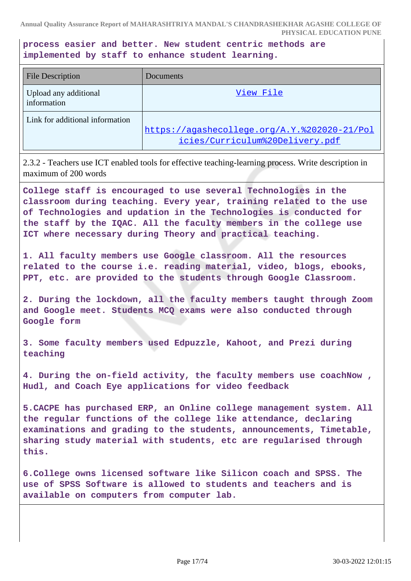**process easier and better. New student centric methods are implemented by staff to enhance student learning.**

| <b>File Description</b>              | Documents                                                                       |
|--------------------------------------|---------------------------------------------------------------------------------|
| Upload any additional<br>information | View File                                                                       |
| Link for additional information      | https://agashecollege.org/A.Y.%202020-21/Pol<br>icies/Curriculum%20Delivery.pdf |

2.3.2 - Teachers use ICT enabled tools for effective teaching-learning process. Write description in maximum of 200 words

**College staff is encouraged to use several Technologies in the classroom during teaching. Every year, training related to the use of Technologies and updation in the Technologies is conducted for the staff by the IQAC. All the faculty members in the college use ICT where necessary during Theory and practical teaching.**

**1. All faculty members use Google classroom. All the resources related to the course i.e. reading material, video, blogs, ebooks, PPT, etc. are provided to the students through Google Classroom.**

**2. During the lockdown, all the faculty members taught through Zoom and Google meet. Students MCQ exams were also conducted through Google form**

**3. Some faculty members used Edpuzzle, Kahoot, and Prezi during teaching**

**4. During the on-field activity, the faculty members use coachNow , Hudl, and Coach Eye applications for video feedback**

**5.CACPE has purchased ERP, an Online college management system. All the regular functions of the college like attendance, declaring examinations and grading to the students, announcements, Timetable, sharing study material with students, etc are regularised through this.**

**6.College owns licensed software like Silicon coach and SPSS. The use of SPSS Software is allowed to students and teachers and is available on computers from computer lab.**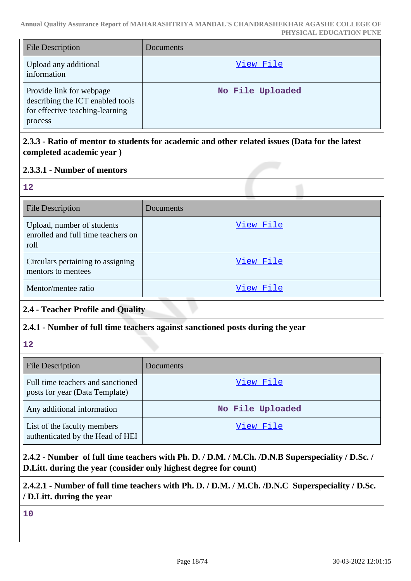| <b>File Description</b>                                                                                    | Documents        |
|------------------------------------------------------------------------------------------------------------|------------------|
| Upload any additional<br>information                                                                       | View File        |
| Provide link for webpage<br>describing the ICT enabled tools<br>for effective teaching-learning<br>process | No File Uploaded |

### **2.3.3 - Ratio of mentor to students for academic and other related issues (Data for the latest completed academic year )**

### **2.3.3.1 - Number of mentors**

**12**

| <b>File Description</b>                                                  | Documents |
|--------------------------------------------------------------------------|-----------|
| Upload, number of students<br>enrolled and full time teachers on<br>roll | View File |
| Circulars pertaining to assigning<br>mentors to mentees                  | View File |
| Mentor/mentee ratio                                                      | View File |

# **2.4 - Teacher Profile and Quality**

### **2.4.1 - Number of full time teachers against sanctioned posts during the year**

**12**

| <b>File Description</b>                                             | Documents        |
|---------------------------------------------------------------------|------------------|
| Full time teachers and sanctioned<br>posts for year (Data Template) | View File        |
| Any additional information                                          | No File Uploaded |
| List of the faculty members<br>authenticated by the Head of HEI     | View File        |

# **2.4.2 - Number of full time teachers with Ph. D. / D.M. / M.Ch. /D.N.B Superspeciality / D.Sc. / D.Litt. during the year (consider only highest degree for count)**

# **2.4.2.1 - Number of full time teachers with Ph. D. / D.M. / M.Ch. /D.N.C Superspeciality / D.Sc. / D.Litt. during the year**

**10**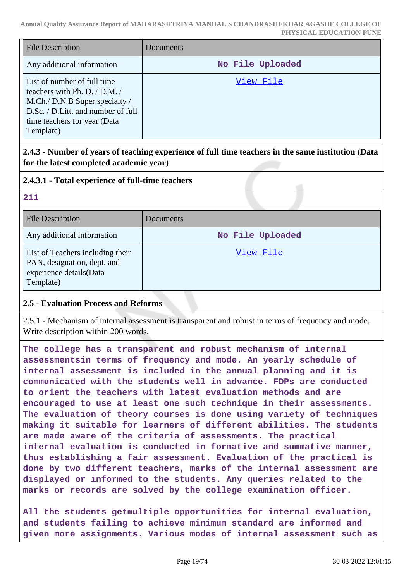| <b>File Description</b>                                                                                                                                                           | Documents        |
|-----------------------------------------------------------------------------------------------------------------------------------------------------------------------------------|------------------|
| Any additional information                                                                                                                                                        | No File Uploaded |
| List of number of full time<br>teachers with Ph. D. / D.M. /<br>M.Ch./ D.N.B Super specialty /<br>D.Sc. / D.Litt. and number of full<br>time teachers for year (Data<br>Template) | View File        |

**2.4.3 - Number of years of teaching experience of full time teachers in the same institution (Data for the latest completed academic year)**

### **2.4.3.1 - Total experience of full-time teachers**

#### **211**

| <b>File Description</b>                                                                                 | Documents        |
|---------------------------------------------------------------------------------------------------------|------------------|
| Any additional information                                                                              | No File Uploaded |
| List of Teachers including their<br>PAN, designation, dept. and<br>experience details(Data<br>Template) | View File        |

### **2.5 - Evaluation Process and Reforms**

2.5.1 - Mechanism of internal assessment is transparent and robust in terms of frequency and mode. Write description within 200 words.

**The college has a transparent and robust mechanism of internal assessmentsin terms of frequency and mode. An yearly schedule of internal assessment is included in the annual planning and it is communicated with the students well in advance. FDPs are conducted to orient the teachers with latest evaluation methods and are encouraged to use at least one such technique in their assessments. The evaluation of theory courses is done using variety of techniques making it suitable for learners of different abilities. The students are made aware of the criteria of assessments. The practical internal evaluation is conducted in formative and summative manner, thus establishing a fair assessment. Evaluation of the practical is done by two different teachers, marks of the internal assessment are displayed or informed to the students. Any queries related to the marks or records are solved by the college examination officer.**

**All the students getmultiple opportunities for internal evaluation, and students failing to achieve minimum standard are informed and given more assignments. Various modes of internal assessment such as**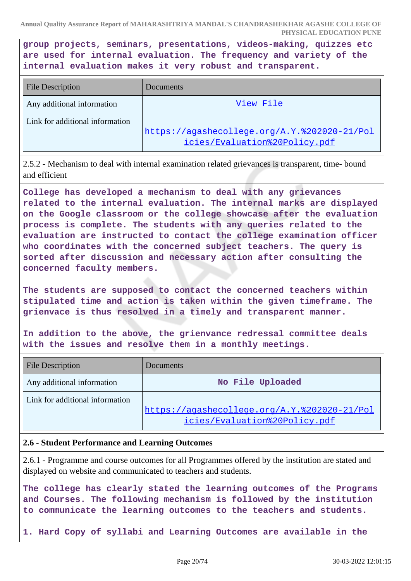**group projects, seminars, presentations, videos-making, quizzes etc are used for internal evaluation. The frequency and variety of the internal evaluation makes it very robust and transparent.**

| <b>File Description</b>         | Documents                                    |
|---------------------------------|----------------------------------------------|
| Any additional information      | View File                                    |
| Link for additional information | https://agashecollege.org/A.Y.%202020-21/Pol |
|                                 | icies/Evaluation%20Policy.pdf                |

2.5.2 - Mechanism to deal with internal examination related grievances is transparent, time- bound and efficient

**College has developed a mechanism to deal with any grievances related to the internal evaluation. The internal marks are displayed on the Google classroom or the college showcase after the evaluation process is complete. The students with any queries related to the evaluation are instructed to contact the college examination officer who coordinates with the concerned subject teachers. The query is sorted after discussion and necessary action after consulting the concerned faculty members.**

**The students are supposed to contact the concerned teachers within stipulated time and action is taken within the given timeframe. The grienvace is thus resolved in a timely and transparent manner.**

**In addition to the above, the grienvance redressal committee deals with the issues and resolve them in a monthly meetings.**

| <b>File Description</b>         | Documents                                    |
|---------------------------------|----------------------------------------------|
| Any additional information      | No File Uploaded                             |
| Link for additional information |                                              |
|                                 | https://agashecollege.org/A.Y.%202020-21/Pol |
|                                 | icies/Evaluation%20Policy.pdf                |

### **2.6 - Student Performance and Learning Outcomes**

2.6.1 - Programme and course outcomes for all Programmes offered by the institution are stated and displayed on website and communicated to teachers and students.

**The college has clearly stated the learning outcomes of the Programs and Courses. The following mechanism is followed by the institution to communicate the learning outcomes to the teachers and students.**

**1. Hard Copy of syllabi and Learning Outcomes are available in the**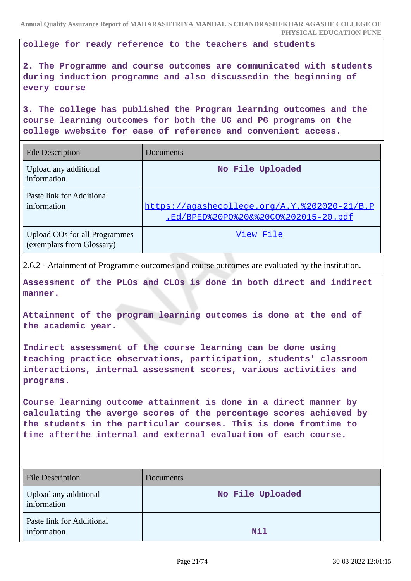**college for ready reference to the teachers and students**

**2. The Programme and course outcomes are communicated with students during induction programme and also discussedin the beginning of every course**

**3. The college has published the Program learning outcomes and the course learning outcomes for both the UG and PG programs on the college wwebsite for ease of reference and convenient access.**

| <b>File Description</b>                                           | Documents                                                                            |
|-------------------------------------------------------------------|--------------------------------------------------------------------------------------|
| Upload any additional<br>information                              | No File Uploaded                                                                     |
| Paste link for Additional<br>information                          | https://aqashecollege.org/A.Y.%202020-21/B.P<br>.Ed/BPED%20P0%20&%20C0%202015-20.pdf |
| <b>Upload COs for all Programmes</b><br>(exemplars from Glossary) | View File                                                                            |

2.6.2 - Attainment of Programme outcomes and course outcomes are evaluated by the institution.

**Assessment of the PLOs and CLOs is done in both direct and indirect manner.**

**Attainment of the program learning outcomes is done at the end of the academic year.**

**Indirect assessment of the course learning can be done using teaching practice observations, participation, students' classroom interactions, internal assessment scores, various activities and programs.**

**Course learning outcome attainment is done in a direct manner by calculating the averge scores of the percentage scores achieved by the students in the particular courses. This is done fromtime to time afterthe internal and external evaluation of each course.**

| <b>File Description</b>                  | Documents        |
|------------------------------------------|------------------|
| Upload any additional<br>information     | No File Uploaded |
| Paste link for Additional<br>information | <b>Nil</b>       |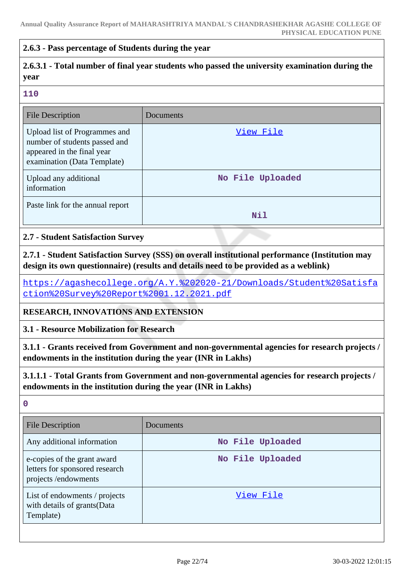#### **2.6.3 - Pass percentage of Students during the year**

# **2.6.3.1 - Total number of final year students who passed the university examination during the year**

#### **110**

| <b>File Description</b>                                                                                                     | Documents        |
|-----------------------------------------------------------------------------------------------------------------------------|------------------|
| Upload list of Programmes and<br>number of students passed and<br>appeared in the final year<br>examination (Data Template) | View File        |
| Upload any additional<br>information                                                                                        | No File Uploaded |
| Paste link for the annual report                                                                                            | Nil              |

#### **2.7 - Student Satisfaction Survey**

**2.7.1 - Student Satisfaction Survey (SSS) on overall institutional performance (Institution may design its own questionnaire) (results and details need to be provided as a weblink)**

[https://agashecollege.org/A.Y.%202020-21/Downloads/Student%20Satisfa](https://agashecollege.org/A.Y.%202020-21/Downloads/Student%20Satisfaction%20Survey%20Report%2001.12.2021.pdf) [ction%20Survey%20Report%2001.12.2021.pdf](https://agashecollege.org/A.Y.%202020-21/Downloads/Student%20Satisfaction%20Survey%20Report%2001.12.2021.pdf)

### **RESEARCH, INNOVATIONS AND EXTENSION**

**3.1 - Resource Mobilization for Research**

**3.1.1 - Grants received from Government and non-governmental agencies for research projects / endowments in the institution during the year (INR in Lakhs)**

**3.1.1.1 - Total Grants from Government and non-governmental agencies for research projects / endowments in the institution during the year (INR in Lakhs)**

**0**

| <b>File Description</b>                                                              | Documents        |
|--------------------------------------------------------------------------------------|------------------|
| Any additional information                                                           | No File Uploaded |
| e-copies of the grant award<br>letters for sponsored research<br>projects/endowments | No File Uploaded |
| List of endowments / projects<br>with details of grants (Data<br>Template)           | View File        |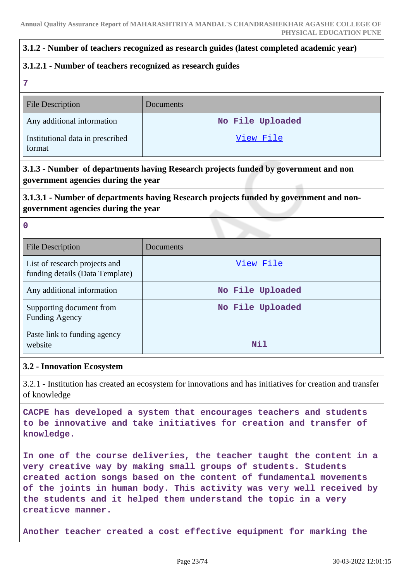### **3.1.2 - Number of teachers recognized as research guides (latest completed academic year)**

#### **3.1.2.1 - Number of teachers recognized as research guides**

**7**

**0**

| <b>File Description</b>                    | <b>Documents</b> |
|--------------------------------------------|------------------|
| Any additional information                 | No File Uploaded |
| Institutional data in prescribed<br>format | View File        |

### **3.1.3 - Number of departments having Research projects funded by government and non government agencies during the year**

## **3.1.3.1 - Number of departments having Research projects funded by government and nongovernment agencies during the year**

| <b>File Description</b>                                          | Documents        |
|------------------------------------------------------------------|------------------|
| List of research projects and<br>funding details (Data Template) | View File        |
| Any additional information                                       | No File Uploaded |
| Supporting document from<br><b>Funding Agency</b>                | No File Uploaded |
| Paste link to funding agency<br>website                          | Nil              |

### **3.2 - Innovation Ecosystem**

3.2.1 - Institution has created an ecosystem for innovations and has initiatives for creation and transfer of knowledge

**CACPE has developed a system that encourages teachers and students to be innovative and take initiatives for creation and transfer of knowledge.**

**In one of the course deliveries, the teacher taught the content in a very creative way by making small groups of students. Students created action songs based on the content of fundamental movements of the joints in human body. This activity was very well received by the students and it helped them understand the topic in a very creaticve manner.**

**Another teacher created a cost effective equipment for marking the**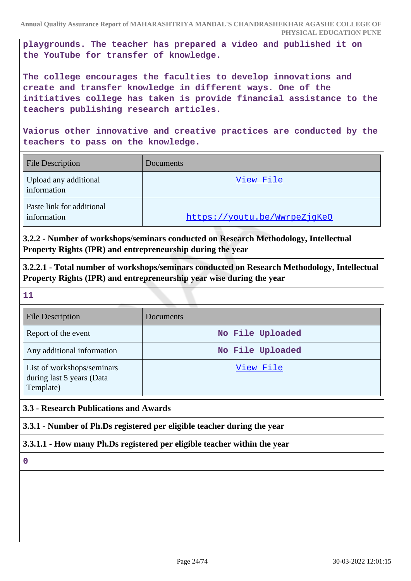**playgrounds. The teacher has prepared a video and published it on the YouTube for transfer of knowledge.**

**The college encourages the faculties to develop innovations and create and transfer knowledge in different ways. One of the initiatives college has taken is provide financial assistance to the teachers publishing research articles.**

**Vaiorus other innovative and creative practices are conducted by the teachers to pass on the knowledge.**

| <b>File Description</b>                  | Documents                    |
|------------------------------------------|------------------------------|
| Upload any additional<br>information     | View File                    |
| Paste link for additional<br>information | https://youtu.be/WwrpeZjqKeQ |

**3.2.2 - Number of workshops/seminars conducted on Research Methodology, Intellectual Property Rights (IPR) and entrepreneurship during the year**

**3.2.2.1 - Total number of workshops/seminars conducted on Research Methodology, Intellectual Property Rights (IPR) and entrepreneurship year wise during the year**

**11**

| <b>File Description</b>                                              | <b>Documents</b> |
|----------------------------------------------------------------------|------------------|
| Report of the event                                                  | No File Uploaded |
| Any additional information                                           | No File Uploaded |
| List of workshops/seminars<br>during last 5 years (Data<br>Template) | View File        |

### **3.3 - Research Publications and Awards**

**3.3.1 - Number of Ph.Ds registered per eligible teacher during the year**

### **3.3.1.1 - How many Ph.Ds registered per eligible teacher within the year**

**0**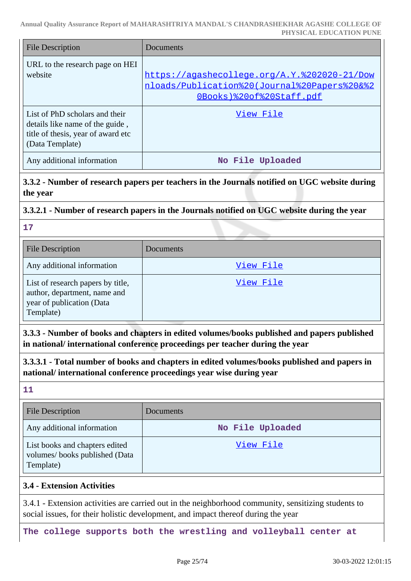| File Description                                                                                                           | Documents                                                                                                                |
|----------------------------------------------------------------------------------------------------------------------------|--------------------------------------------------------------------------------------------------------------------------|
| URL to the research page on HEI<br>website                                                                                 | https://agashecollege.org/A.Y.%202020-21/Dow<br>nloads/Publication%20(Journal%20Papers%20&%2<br>OBooks)%20of%20Staff.pdf |
| List of PhD scholars and their<br>details like name of the guide,<br>title of thesis, year of award etc<br>(Data Template) | View File                                                                                                                |
| Any additional information                                                                                                 | No File Uploaded                                                                                                         |

### **3.3.2 - Number of research papers per teachers in the Journals notified on UGC website during the year**

### **3.3.2.1 - Number of research papers in the Journals notified on UGC website during the year**

**17**

| <b>File Description</b>                                                                                     | Documents |
|-------------------------------------------------------------------------------------------------------------|-----------|
| Any additional information                                                                                  | View File |
| List of research papers by title,<br>author, department, name and<br>year of publication (Data<br>Template) | View File |

**3.3.3 - Number of books and chapters in edited volumes/books published and papers published in national/ international conference proceedings per teacher during the year**

**3.3.3.1 - Total number of books and chapters in edited volumes/books published and papers in national/ international conference proceedings year wise during year**

**11**

| <b>File Description</b>                                                      | Documents        |
|------------------------------------------------------------------------------|------------------|
| Any additional information                                                   | No File Uploaded |
| List books and chapters edited<br>volumes/books published (Data<br>Template) | View File        |

### **3.4 - Extension Activities**

3.4.1 - Extension activities are carried out in the neighborhood community, sensitizing students to social issues, for their holistic development, and impact thereof during the year

**The college supports both the wrestling and volleyball center at**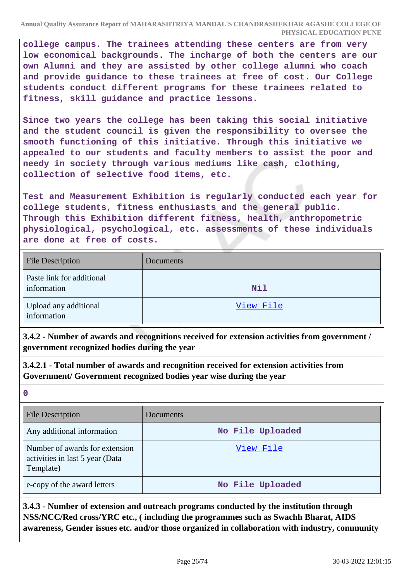**college campus. The trainees attending these centers are from very low economical backgrounds. The incharge of both the centers are our own Alumni and they are assisted by other college alumni who coach and provide guidance to these trainees at free of cost. Our College students conduct different programs for these trainees related to fitness, skill guidance and practice lessons.**

**Since two years the college has been taking this social initiative and the student council is given the responsibility to oversee the smooth functioning of this initiative. Through this initiative we appealed to our students and faculty members to assist the poor and needy in society through various mediums like cash, clothing, collection of selective food items, etc.**

**Test and Measurement Exhibition is regularly conducted each year for college students, fitness enthusiasts and the general public. Through this Exhibition different fitness, health, anthropometric physiological, psychological, etc. assessments of these individuals are done at free of costs.**

| <b>File Description</b>                  | Documents  |
|------------------------------------------|------------|
| Paste link for additional<br>information | <b>Nil</b> |
| Upload any additional<br>information     | View File  |

**3.4.2 - Number of awards and recognitions received for extension activities from government / government recognized bodies during the year**

**3.4.2.1 - Total number of awards and recognition received for extension activities from Government/ Government recognized bodies year wise during the year**

**0**

| <b>File Description</b>                                                        | <b>Documents</b> |
|--------------------------------------------------------------------------------|------------------|
| Any additional information                                                     | No File Uploaded |
| Number of awards for extension<br>activities in last 5 year (Data<br>Template) | View File        |
| e-copy of the award letters                                                    | No File Uploaded |

**3.4.3 - Number of extension and outreach programs conducted by the institution through NSS/NCC/Red cross/YRC etc., ( including the programmes such as Swachh Bharat, AIDS awareness, Gender issues etc. and/or those organized in collaboration with industry, community**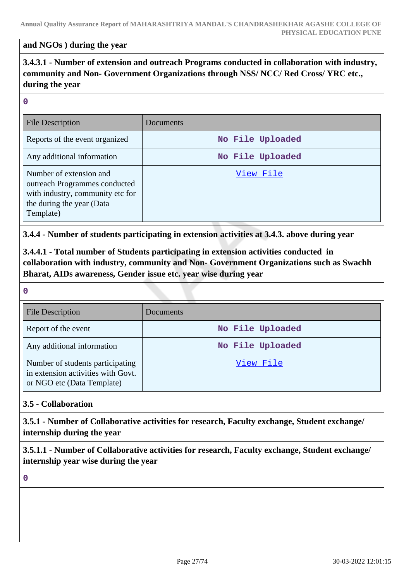### **and NGOs ) during the year**

**3.4.3.1 - Number of extension and outreach Programs conducted in collaboration with industry, community and Non- Government Organizations through NSS/ NCC/ Red Cross/ YRC etc., during the year**

#### **0**

| File Description                                                                                                                       | Documents        |
|----------------------------------------------------------------------------------------------------------------------------------------|------------------|
| Reports of the event organized                                                                                                         | No File Uploaded |
| Any additional information                                                                                                             | No File Uploaded |
| Number of extension and<br>outreach Programmes conducted<br>with industry, community etc for<br>the during the year (Data<br>Template) | View File        |

**3.4.4 - Number of students participating in extension activities at 3.4.3. above during year**

**3.4.4.1 - Total number of Students participating in extension activities conducted in collaboration with industry, community and Non- Government Organizations such as Swachh Bharat, AIDs awareness, Gender issue etc. year wise during year**

#### **0**

| <b>File Description</b>                                                                              | Documents        |
|------------------------------------------------------------------------------------------------------|------------------|
| Report of the event                                                                                  | No File Uploaded |
| Any additional information                                                                           | No File Uploaded |
| Number of students participating<br>in extension activities with Govt.<br>or NGO etc (Data Template) | View File        |

### **3.5 - Collaboration**

**3.5.1 - Number of Collaborative activities for research, Faculty exchange, Student exchange/ internship during the year**

**3.5.1.1 - Number of Collaborative activities for research, Faculty exchange, Student exchange/ internship year wise during the year**

**0**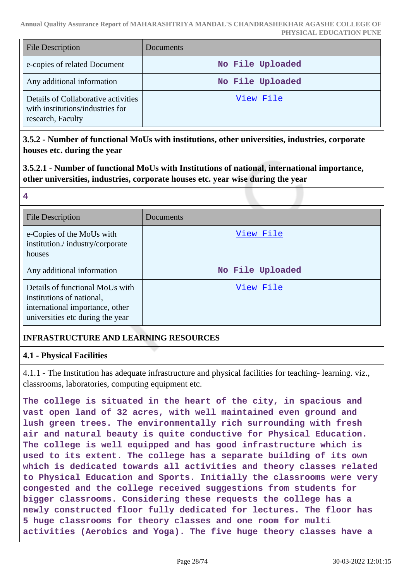| <b>File Description</b>                                                                      | <b>Documents</b> |
|----------------------------------------------------------------------------------------------|------------------|
| e-copies of related Document                                                                 | No File Uploaded |
| Any additional information                                                                   | No File Uploaded |
| Details of Collaborative activities<br>with institutions/industries for<br>research, Faculty | View File        |

### **3.5.2 - Number of functional MoUs with institutions, other universities, industries, corporate houses etc. during the year**

**3.5.2.1 - Number of functional MoUs with Institutions of national, international importance, other universities, industries, corporate houses etc. year wise during the year**

#### **4**

| <b>File Description</b>                                                                                                             | Documents        |
|-------------------------------------------------------------------------------------------------------------------------------------|------------------|
| e-Copies of the MoUs with<br>institution./industry/corporate<br>houses                                                              | View File        |
| Any additional information                                                                                                          | No File Uploaded |
| Details of functional MoUs with<br>institutions of national,<br>international importance, other<br>universities etc during the year | View File        |

# **INFRASTRUCTURE AND LEARNING RESOURCES**

### **4.1 - Physical Facilities**

4.1.1 - The Institution has adequate infrastructure and physical facilities for teaching- learning. viz., classrooms, laboratories, computing equipment etc.

**The college is situated in the heart of the city, in spacious and vast open land of 32 acres, with well maintained even ground and lush green trees. The environmentally rich surrounding with fresh air and natural beauty is quite conductive for Physical Education. The college is well equipped and has good infrastructure which is used to its extent. The college has a separate building of its own which is dedicated towards all activities and theory classes related to Physical Education and Sports. Initially the classrooms were very congested and the college received suggestions from students for bigger classrooms. Considering these requests the college has a newly constructed floor fully dedicated for lectures. The floor has 5 huge classrooms for theory classes and one room for multi activities (Aerobics and Yoga). The five huge theory classes have a**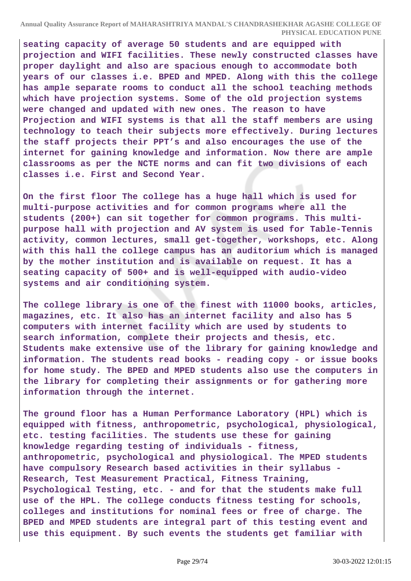**seating capacity of average 50 students and are equipped with projection and WIFI facilities. These newly constructed classes have proper daylight and also are spacious enough to accommodate both years of our classes i.e. BPED and MPED. Along with this the college has ample separate rooms to conduct all the school teaching methods which have projection systems. Some of the old projection systems were changed and updated with new ones. The reason to have Projection and WIFI systems is that all the staff members are using technology to teach their subjects more effectively. During lectures the staff projects their PPT's and also encourages the use of the internet for gaining knowledge and information. Now there are ample classrooms as per the NCTE norms and can fit two divisions of each classes i.e. First and Second Year.**

**On the first floor The college has a huge hall which is used for multi-purpose activities and for common programs where all the students (200+) can sit together for common programs. This multipurpose hall with projection and AV system is used for Table-Tennis activity, common lectures, small get-together, workshops, etc. Along with this hall the college campus has an auditorium which is managed by the mother institution and is available on request. It has a seating capacity of 500+ and is well-equipped with audio-video systems and air conditioning system.**

**The college library is one of the finest with 11000 books, articles, magazines, etc. It also has an internet facility and also has 5 computers with internet facility which are used by students to search information, complete their projects and thesis, etc. Students make extensive use of the library for gaining knowledge and information. The students read books - reading copy - or issue books for home study. The BPED and MPED students also use the computers in the library for completing their assignments or for gathering more information through the internet.**

**The ground floor has a Human Performance Laboratory (HPL) which is equipped with fitness, anthropometric, psychological, physiological, etc. testing facilities. The students use these for gaining knowledge regarding testing of individuals - fitness, anthropometric, psychological and physiological. The MPED students have compulsory Research based activities in their syllabus - Research, Test Measurement Practical, Fitness Training, Psychological Testing, etc. - and for that the students make full use of the HPL. The college conducts fitness testing for schools, colleges and institutions for nominal fees or free of charge. The BPED and MPED students are integral part of this testing event and use this equipment. By such events the students get familiar with**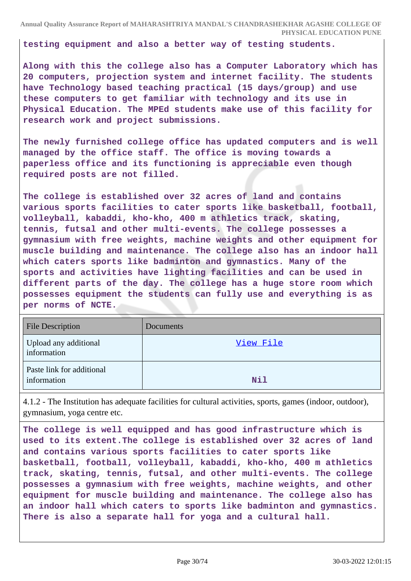**testing equipment and also a better way of testing students.**

**Along with this the college also has a Computer Laboratory which has 20 computers, projection system and internet facility. The students have Technology based teaching practical (15 days/group) and use these computers to get familiar with technology and its use in Physical Education. The MPEd students make use of this facility for research work and project submissions.**

**The newly furnished college office has updated computers and is well managed by the office staff. The office is moving towards a paperless office and its functioning is appreciable even though required posts are not filled.**

**The college is established over 32 acres of land and contains various sports facilities to cater sports like basketball, football, volleyball, kabaddi, kho-kho, 400 m athletics track, skating, tennis, futsal and other multi-events. The college possesses a gymnasium with free weights, machine weights and other equipment for muscle building and maintenance. The college also has an indoor hall which caters sports like badminton and gymnastics. Many of the sports and activities have lighting facilities and can be used in different parts of the day. The college has a huge store room which possesses equipment the students can fully use and everything is as per norms of NCTE.**

| <b>File Description</b>                  | Documents |
|------------------------------------------|-----------|
| Upload any additional<br>information     | View File |
| Paste link for additional<br>information | Nil       |

4.1.2 - The Institution has adequate facilities for cultural activities, sports, games (indoor, outdoor), gymnasium, yoga centre etc.

**The college is well equipped and has good infrastructure which is used to its extent.The college is established over 32 acres of land and contains various sports facilities to cater sports like basketball, football, volleyball, kabaddi, kho-kho, 400 m athletics track, skating, tennis, futsal, and other multi-events. The college possesses a gymnasium with free weights, machine weights, and other equipment for muscle building and maintenance. The college also has an indoor hall which caters to sports like badminton and gymnastics. There is also a separate hall for yoga and a cultural hall.**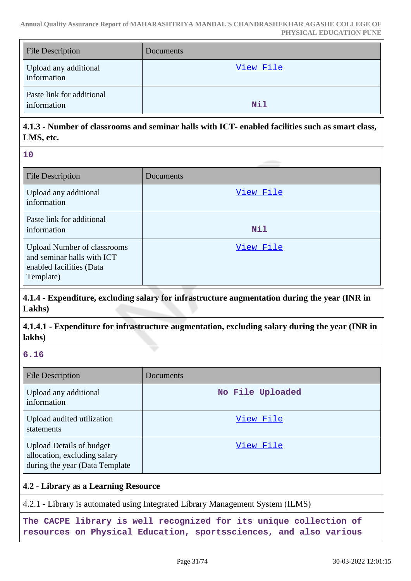| <b>File Description</b>                  | <b>Documents</b> |
|------------------------------------------|------------------|
| Upload any additional<br>information     | View File        |
| Paste link for additional<br>information | <b>Nil</b>       |

# **4.1.3 - Number of classrooms and seminar halls with ICT- enabled facilities such as smart class, LMS, etc.**

**10**

| File Description                                                                                          | Documents  |
|-----------------------------------------------------------------------------------------------------------|------------|
| Upload any additional<br>information                                                                      | View File  |
| Paste link for additional<br>information                                                                  | <b>Nil</b> |
| <b>Upload Number of classrooms</b><br>and seminar halls with ICT<br>enabled facilities (Data<br>Template) | View File  |

**4.1.4 - Expenditure, excluding salary for infrastructure augmentation during the year (INR in Lakhs)**

**4.1.4.1 - Expenditure for infrastructure augmentation, excluding salary during the year (INR in lakhs)**

### **6.16**

| <b>File Description</b>                                                                           | Documents        |
|---------------------------------------------------------------------------------------------------|------------------|
| Upload any additional<br>information                                                              | No File Uploaded |
| Upload audited utilization<br>statements                                                          | View File        |
| <b>Upload Details of budget</b><br>allocation, excluding salary<br>during the year (Data Template | View File        |

### **4.2 - Library as a Learning Resource**

4.2.1 - Library is automated using Integrated Library Management System (ILMS)

**The CACPE library is well recognized for its unique collection of resources on Physical Education, sportssciences, and also various**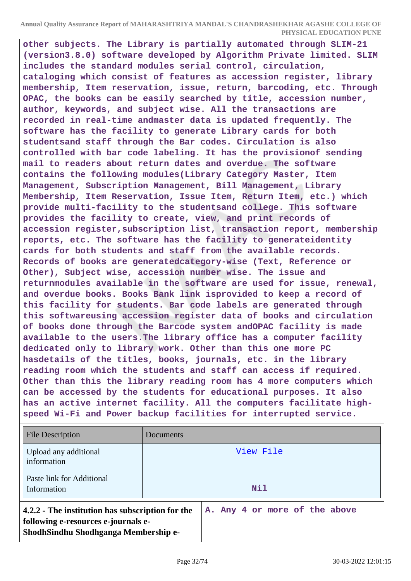**other subjects. The Library is partially automated through SLIM-21 (version3.8.0) software developed by Algorithm Private limited. SLIM includes the standard modules serial control, circulation, cataloging which consist of features as accession register, library membership, Item reservation, issue, return, barcoding, etc. Through OPAC, the books can be easily searched by title, accession number, author, keywords, and subject wise. All the transactions are recorded in real-time andmaster data is updated frequently. The software has the facility to generate Library cards for both studentsand staff through the Bar codes. Circulation is also controlled with bar code labeling. It has the provisionof sending mail to readers about return dates and overdue. The software contains the following modules(Library Category Master, Item Management, Subscription Management, Bill Management, Library Membership, Item Reservation, Issue Item, Return Item, etc.) which provide multi-facility to the studentsand college. This software provides the facility to create, view, and print records of accession register,subscription list, transaction report, membership reports, etc. The software has the facility to generateidentity cards for both students and staff from the available records. Records of books are generatedcategory-wise (Text, Reference or Other), Subject wise, accession number wise. The issue and returnmodules available in the software are used for issue, renewal, and overdue books. Books Bank link isprovided to keep a record of this facility for students. Bar code labels are generated through this softwareusing accession register data of books and circulation of books done through the Barcode system andOPAC facility is made available to the users.The library office has a computer facility dedicated only to library work. Other than this one more PC hasdetails of the titles, books, journals, etc. in the library reading room which the students and staff can access if required. Other than this the library reading room has 4 more computers which can be accessed by the students for educational purposes. It also has an active internet facility. All the computers facilitate highspeed Wi-Fi and Power backup facilities for interrupted service.**

| <b>File Description</b>                                                                                                         | Documents                     |
|---------------------------------------------------------------------------------------------------------------------------------|-------------------------------|
| Upload any additional<br>information                                                                                            | View File                     |
| Paste link for Additional<br>Information                                                                                        | Nil                           |
| 4.2.2 - The institution has subscription for the<br>following e-resources e-journals e-<br>ShodhSindhu Shodhganga Membership e- | A. Any 4 or more of the above |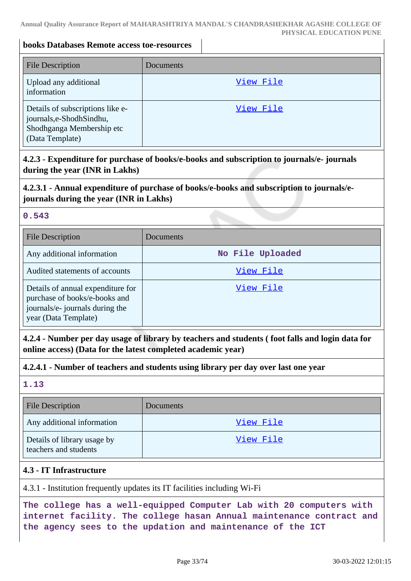### **books Databases Remote access toe-resources**

| <b>File Description</b>                                                                                     | Documents |
|-------------------------------------------------------------------------------------------------------------|-----------|
| Upload any additional<br>information                                                                        | View File |
| Details of subscriptions like e-<br>journals,e-ShodhSindhu,<br>Shodhganga Membership etc<br>(Data Template) | View File |

**4.2.3 - Expenditure for purchase of books/e-books and subscription to journals/e- journals during the year (INR in Lakhs)**

### **4.2.3.1 - Annual expenditure of purchase of books/e-books and subscription to journals/ejournals during the year (INR in Lakhs)**

### **0.543**

| <b>File Description</b>                                                                                                       | Documents        |
|-------------------------------------------------------------------------------------------------------------------------------|------------------|
| Any additional information                                                                                                    | No File Uploaded |
| Audited statements of accounts                                                                                                | View File        |
| Details of annual expenditure for<br>purchase of books/e-books and<br>journals/e- journals during the<br>year (Data Template) | View File        |

**4.2.4 - Number per day usage of library by teachers and students ( foot falls and login data for online access) (Data for the latest completed academic year)**

### **4.2.4.1 - Number of teachers and students using library per day over last one year**

**1.13**

| <b>File Description</b>                              | <b>Documents</b> |
|------------------------------------------------------|------------------|
| Any additional information                           | View File        |
| Details of library usage by<br>teachers and students | View File        |

### **4.3 - IT Infrastructure**

4.3.1 - Institution frequently updates its IT facilities including Wi-Fi

**The college has a well-equipped Computer Lab with 20 computers with internet facility. The college hasan Annual maintenance contract and the agency sees to the updation and maintenance of the ICT**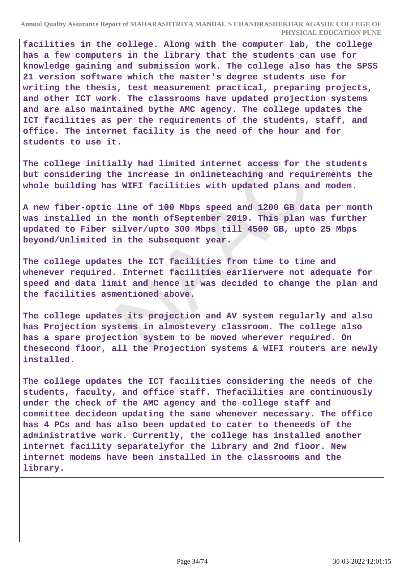**facilities in the college. Along with the computer lab, the college has a few computers in the library that the students can use for knowledge gaining and submission work. The college also has the SPSS 21 version software which the master's degree students use for writing the thesis, test measurement practical, preparing projects, and other ICT work. The classrooms have updated projection systems and are also maintained bythe AMC agency. The college updates the ICT facilities as per the requirements of the students, staff, and office. The internet facility is the need of the hour and for students to use it.**

**The college initially had limited internet access for the students but considering the increase in onlineteaching and requirements the whole building has WIFI facilities with updated plans and modem.**

**A new fiber-optic line of 100 Mbps speed and 1200 GB data per month was installed in the month ofSeptember 2019. This plan was further updated to Fiber silver/upto 300 Mbps till 4500 GB, upto 25 Mbps beyond/Unlimited in the subsequent year.**

**The college updates the ICT facilities from time to time and whenever required. Internet facilities earlierwere not adequate for speed and data limit and hence it was decided to change the plan and the facilities asmentioned above.**

**The college updates its projection and AV system regularly and also has Projection systems in almostevery classroom. The college also has a spare projection system to be moved wherever required. On thesecond floor, all the Projection systems & WIFI routers are newly installed.**

**The college updates the ICT facilities considering the needs of the students, faculty, and office staff. Thefacilities are continuously under the check of the AMC agency and the college staff and committee decideon updating the same whenever necessary. The office has 4 PCs and has also been updated to cater to theneeds of the administrative work. Currently, the college has installed another internet facility separatelyfor the library and 2nd floor. New internet modems have been installed in the classrooms and the library.**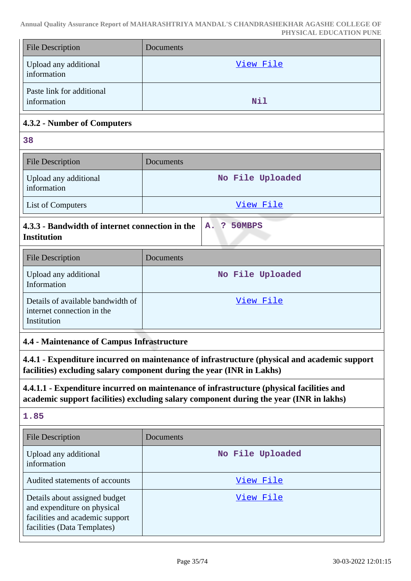| <b>File Description</b>                                                                                                                                                                    | Documents        |
|--------------------------------------------------------------------------------------------------------------------------------------------------------------------------------------------|------------------|
| Upload any additional<br>information                                                                                                                                                       | View File        |
| Paste link for additional<br>information                                                                                                                                                   | Nil              |
| 4.3.2 - Number of Computers                                                                                                                                                                |                  |
| 38                                                                                                                                                                                         |                  |
| <b>File Description</b>                                                                                                                                                                    | Documents        |
| Upload any additional<br>information                                                                                                                                                       | No File Uploaded |
| List of Computers                                                                                                                                                                          | View File        |
| 4.3.3 - Bandwidth of internet connection in the<br>50MBPS<br>A.<br>3<br><b>Institution</b>                                                                                                 |                  |
| <b>File Description</b>                                                                                                                                                                    | Documents        |
| Upload any additional<br>Information                                                                                                                                                       | No File Uploaded |
| Details of available bandwidth of<br>internet connection in the<br>Institution                                                                                                             | <u>View File</u> |
| 4.4 - Maintenance of Campus Infrastructure                                                                                                                                                 |                  |
| 4.4.1 - Expenditure incurred on maintenance of infrastructure (physical and academic support<br>facilities) excluding salary component during the year (INR in Lakhs)                      |                  |
| 4.4.1.1 - Expenditure incurred on maintenance of infrastructure (physical facilities and<br>academic support facilities) excluding salary component during the year (INR in lakhs)<br>1.85 |                  |
| <b>File Description</b>                                                                                                                                                                    | Documents        |
| Upload any additional<br>information                                                                                                                                                       | No File Uploaded |
| Audited statements of accounts                                                                                                                                                             | <u>View File</u> |
| Details about assigned budget<br>and expenditure on physical<br>facilities and academic support<br>facilities (Data Templates)                                                             | View File        |

 $\mathbb{R}$ 

 $\overline{\phantom{a}}$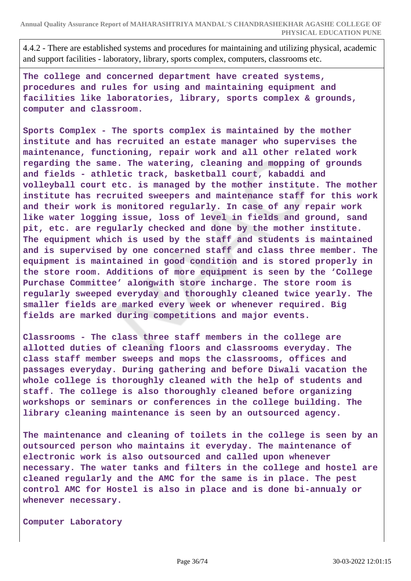4.4.2 - There are established systems and procedures for maintaining and utilizing physical, academic and support facilities - laboratory, library, sports complex, computers, classrooms etc.

**The college and concerned department have created systems, procedures and rules for using and maintaining equipment and facilities like laboratories, library, sports complex & grounds, computer and classroom.**

**Sports Complex - The sports complex is maintained by the mother institute and has recruited an estate manager who supervises the maintenance, functioning, repair work and all other related work regarding the same. The watering, cleaning and mopping of grounds and fields - athletic track, basketball court, kabaddi and volleyball court etc. is managed by the mother institute. The mother institute has recruited sweepers and maintenance staff for this work and their work is monitored regularly. In case of any repair work like water logging issue, loss of level in fields and ground, sand pit, etc. are regularly checked and done by the mother institute. The equipment which is used by the staff and students is maintained and is supervised by one concerned staff and class three member. The equipment is maintained in good condition and is stored properly in the store room. Additions of more equipment is seen by the 'College Purchase Committee' alongwith store incharge. The store room is regularly sweeped everyday and thoroughly cleaned twice yearly. The smaller fields are marked every week or whenever required. Big fields are marked during competitions and major events.**

**Classrooms - The class three staff members in the college are allotted duties of cleaning floors and classrooms everyday. The class staff member sweeps and mops the classrooms, offices and passages everyday. During gathering and before Diwali vacation the whole college is thoroughly cleaned with the help of students and staff. The college is also thoroughly cleaned before organizing workshops or seminars or conferences in the college building. The library cleaning maintenance is seen by an outsourced agency.**

**The maintenance and cleaning of toilets in the college is seen by an outsourced person who maintains it everyday. The maintenance of electronic work is also outsourced and called upon whenever necessary. The water tanks and filters in the college and hostel are cleaned regularly and the AMC for the same is in place. The pest control AMC for Hostel is also in place and is done bi-annualy or whenever necessary.**

```
Computer Laboratory
```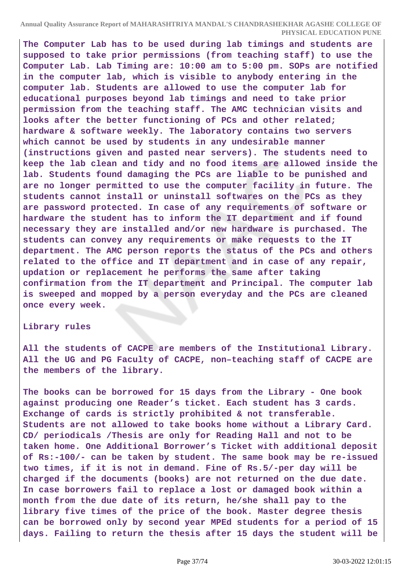**The Computer Lab has to be used during lab timings and students are supposed to take prior permissions (from teaching staff) to use the Computer Lab. Lab Timing are: 10:00 am to 5:00 pm. SOPs are notified in the computer lab, which is visible to anybody entering in the computer lab. Students are allowed to use the computer lab for educational purposes beyond lab timings and need to take prior permission from the teaching staff. The AMC technician visits and looks after the better functioning of PCs and other related; hardware & software weekly. The laboratory contains two servers which cannot be used by students in any undesirable manner (instructions given and pasted near servers). The students need to keep the lab clean and tidy and no food items are allowed inside the lab. Students found damaging the PCs are liable to be punished and are no longer permitted to use the computer facility in future. The students cannot install or uninstall softwares on the PCs as they are password protected. In case of any requirements of software or hardware the student has to inform the IT department and if found necessary they are installed and/or new hardware is purchased. The students can convey any requirements or make requests to the IT department. The AMC person reports the status of the PCs and others related to the office and IT department and in case of any repair, updation or replacement he performs the same after taking confirmation from the IT department and Principal. The computer lab is sweeped and mopped by a person everyday and the PCs are cleaned once every week.**

#### **Library rules**

**All the students of CACPE are members of the Institutional Library. All the UG and PG Faculty of CACPE, non–teaching staff of CACPE are the members of the library.**

**The books can be borrowed for 15 days from the Library - One book against producing one Reader's ticket. Each student has 3 cards. Exchange of cards is strictly prohibited & not transferable. Students are not allowed to take books home without a Library Card. CD/ periodicals /Thesis are only for Reading Hall and not to be taken home. One Additional Borrower's Ticket with additional deposit of Rs:-100/- can be taken by student. The same book may be re-issued two times, if it is not in demand. Fine of Rs.5/-per day will be charged if the documents (books) are not returned on the due date. In case borrowers fail to replace a lost or damaged book within a month from the due date of its return, he/she shall pay to the library five times of the price of the book. Master degree thesis can be borrowed only by second year MPEd students for a period of 15 days. Failing to return the thesis after 15 days the student will be**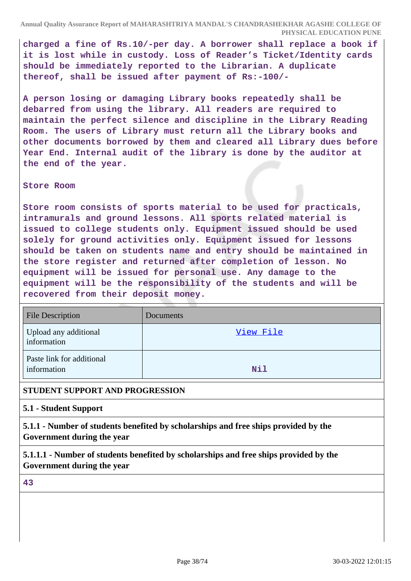**charged a fine of Rs.10/-per day. A borrower shall replace a book if it is lost while in custody. Loss of Reader's Ticket/Identity cards should be immediately reported to the Librarian. A duplicate thereof, shall be issued after payment of Rs:-100/-**

**A person losing or damaging Library books repeatedly shall be debarred from using the library. All readers are required to maintain the perfect silence and discipline in the Library Reading Room. The users of Library must return all the Library books and other documents borrowed by them and cleared all Library dues before Year End. Internal audit of the library is done by the auditor at the end of the year.**

#### **Store Room**

**Store room consists of sports material to be used for practicals, intramurals and ground lessons. All sports related material is issued to college students only. Equipment issued should be used solely for ground activities only. Equipment issued for lessons should be taken on students name and entry should be maintained in the store register and returned after completion of lesson. No equipment will be issued for personal use. Any damage to the equipment will be the responsibility of the students and will be recovered from their deposit money.**

| <b>File Description</b>                  | Documents  |
|------------------------------------------|------------|
| Upload any additional<br>information     | View File  |
| Paste link for additional<br>information | <b>Nil</b> |

### **STUDENT SUPPORT AND PROGRESSION**

**5.1 - Student Support**

**5.1.1 - Number of students benefited by scholarships and free ships provided by the Government during the year**

**5.1.1.1 - Number of students benefited by scholarships and free ships provided by the Government during the year**

**43**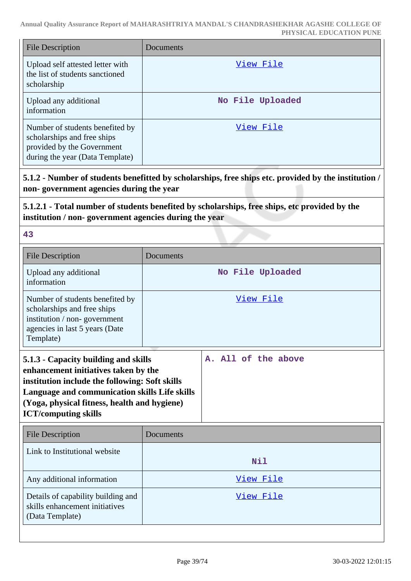| <b>File Description</b>                                                                                                         | Documents        |
|---------------------------------------------------------------------------------------------------------------------------------|------------------|
| Upload self attested letter with<br>the list of students sanctioned<br>scholarship                                              | View File        |
| Upload any additional<br>information                                                                                            | No File Uploaded |
| Number of students benefited by<br>scholarships and free ships<br>provided by the Government<br>during the year (Data Template) | View File        |

**5.1.2 - Number of students benefitted by scholarships, free ships etc. provided by the institution / non- government agencies during the year**

# **5.1.2.1 - Total number of students benefited by scholarships, free ships, etc provided by the institution / non- government agencies during the year**

**43**

| Documents                                                                                                                                                                                                                       |                     |
|---------------------------------------------------------------------------------------------------------------------------------------------------------------------------------------------------------------------------------|---------------------|
|                                                                                                                                                                                                                                 |                     |
|                                                                                                                                                                                                                                 | No File Uploaded    |
| View File                                                                                                                                                                                                                       |                     |
| 5.1.3 - Capacity building and skills<br>enhancement initiatives taken by the<br>institution include the following: Soft skills<br>Language and communication skills Life skills<br>(Yoga, physical fitness, health and hygiene) | A. All of the above |
| Documents                                                                                                                                                                                                                       |                     |
|                                                                                                                                                                                                                                 | <b>Nil</b>          |
|                                                                                                                                                                                                                                 | View File           |
|                                                                                                                                                                                                                                 | View File           |
|                                                                                                                                                                                                                                 |                     |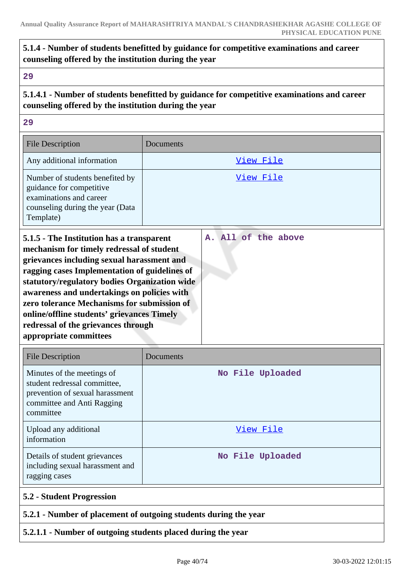# **5.1.4 - Number of students benefitted by guidance for competitive examinations and career counseling offered by the institution during the year**

**29**

**5.1.4.1 - Number of students benefitted by guidance for competitive examinations and career counseling offered by the institution during the year**

**29**

| <b>File Description</b>                                                                                                                                                                                                                                                                                                                                                            | Documents           |
|------------------------------------------------------------------------------------------------------------------------------------------------------------------------------------------------------------------------------------------------------------------------------------------------------------------------------------------------------------------------------------|---------------------|
| Any additional information                                                                                                                                                                                                                                                                                                                                                         | View File           |
| Number of students benefited by<br>guidance for competitive<br>examinations and career<br>counseling during the year (Data<br>Template)                                                                                                                                                                                                                                            | View File           |
| 5.1.5 - The Institution has a transparent<br>mechanism for timely redressal of student<br>grievances including sexual harassment and<br>ragging cases Implementation of guidelines of<br>statutory/regulatory bodies Organization wide<br>awareness and undertakings on policies with<br>zero tolerance Mechanisms for submission of<br>online/offline students' grievances Timely | A. All of the above |

| <b>File Description</b>                                                                                                                  | Documents        |
|------------------------------------------------------------------------------------------------------------------------------------------|------------------|
| Minutes of the meetings of<br>student redressal committee,<br>prevention of sexual harassment<br>committee and Anti Ragging<br>committee | No File Uploaded |
| Upload any additional<br>information                                                                                                     | View File        |
| Details of student grievances<br>including sexual harassment and<br>ragging cases                                                        | No File Uploaded |
| <b>5.2 - Student Progression</b>                                                                                                         |                  |

### **5.2.1 - Number of placement of outgoing students during the year**

# **5.2.1.1 - Number of outgoing students placed during the year**

**redressal of the grievances through**

**appropriate committees**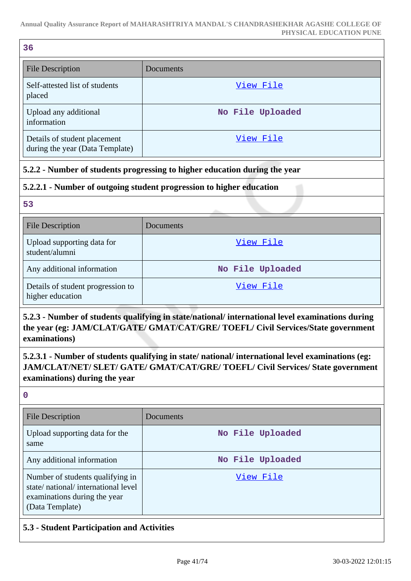| 36                                                              |                  |
|-----------------------------------------------------------------|------------------|
| <b>File Description</b>                                         | Documents        |
| Self-attested list of students<br>placed                        | View File        |
| Upload any additional<br>information                            | No File Uploaded |
| Details of student placement<br>during the year (Data Template) | View File        |

# **5.2.2 - Number of students progressing to higher education during the year**

# **5.2.2.1 - Number of outgoing student progression to higher education**

**53**

| <b>File Description</b>                               | <b>Documents</b> |
|-------------------------------------------------------|------------------|
| Upload supporting data for<br>student/alumni          | View File        |
| Any additional information                            | No File Uploaded |
| Details of student progression to<br>higher education | View File        |

**5.2.3 - Number of students qualifying in state/national/ international level examinations during the year (eg: JAM/CLAT/GATE/ GMAT/CAT/GRE/ TOEFL/ Civil Services/State government examinations)**

**5.2.3.1 - Number of students qualifying in state/ national/ international level examinations (eg: JAM/CLAT/NET/ SLET/ GATE/ GMAT/CAT/GRE/ TOEFL/ Civil Services/ State government examinations) during the year**

**0**

| File Description                                                                                                          | Documents        |
|---------------------------------------------------------------------------------------------------------------------------|------------------|
| Upload supporting data for the<br>same                                                                                    | No File Uploaded |
| Any additional information                                                                                                | No File Uploaded |
| Number of students qualifying in<br>state/national/international level<br>examinations during the year<br>(Data Template) | View File        |

# **5.3 - Student Participation and Activities**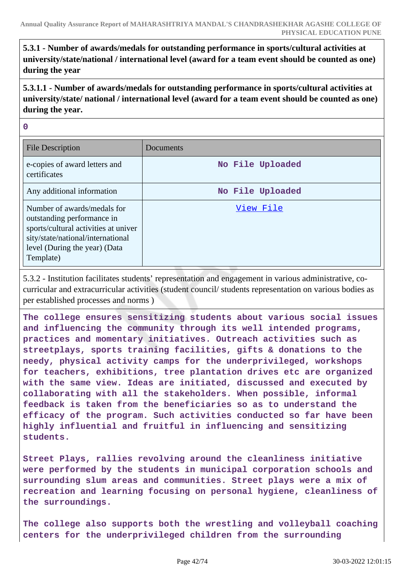**5.3.1 - Number of awards/medals for outstanding performance in sports/cultural activities at university/state/national / international level (award for a team event should be counted as one) during the year**

**5.3.1.1 - Number of awards/medals for outstanding performance in sports/cultural activities at university/state/ national / international level (award for a team event should be counted as one) during the year.**

**0**

| <b>File Description</b>                                                                                                                                                              | Documents        |
|--------------------------------------------------------------------------------------------------------------------------------------------------------------------------------------|------------------|
| e-copies of award letters and<br>certificates                                                                                                                                        | No File Uploaded |
| Any additional information                                                                                                                                                           | No File Uploaded |
| Number of awards/medals for<br>outstanding performance in<br>sports/cultural activities at univer<br>sity/state/national/international<br>level (During the year) (Data<br>Template) | View File        |

5.3.2 - Institution facilitates students' representation and engagement in various administrative, cocurricular and extracurricular activities (student council/ students representation on various bodies as per established processes and norms )

**The college ensures sensitizing students about various social issues and influencing the community through its well intended programs, practices and momentary initiatives. Outreach activities such as streetplays, sports training facilities, gifts & donations to the needy, physical activity camps for the underprivileged, workshops for teachers, exhibitions, tree plantation drives etc are organized with the same view. Ideas are initiated, discussed and executed by collaborating with all the stakeholders. When possible, informal feedback is taken from the beneficiaries so as to understand the efficacy of the program. Such activities conducted so far have been highly influential and fruitful in influencing and sensitizing students.**

**Street Plays, rallies revolving around the cleanliness initiative were performed by the students in municipal corporation schools and surrounding slum areas and communities. Street plays were a mix of recreation and learning focusing on personal hygiene, cleanliness of the surroundings.**

**The college also supports both the wrestling and volleyball coaching centers for the underprivileged children from the surrounding**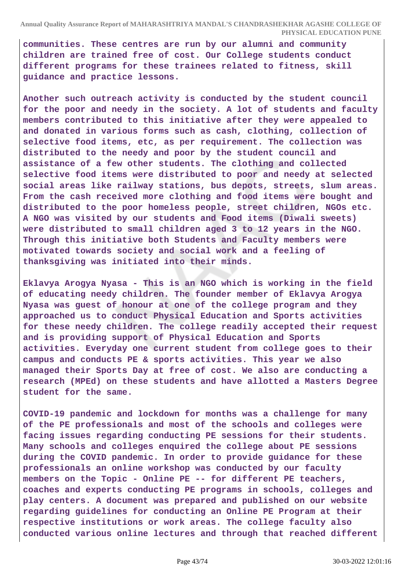**communities. These centres are run by our alumni and community children are trained free of cost. Our College students conduct different programs for these trainees related to fitness, skill guidance and practice lessons.**

**Another such outreach activity is conducted by the student council for the poor and needy in the society. A lot of students and faculty members contributed to this initiative after they were appealed to and donated in various forms such as cash, clothing, collection of selective food items, etc, as per requirement. The collection was distributed to the needy and poor by the student council and assistance of a few other students. The clothing and collected selective food items were distributed to poor and needy at selected social areas like railway stations, bus depots, streets, slum areas. From the cash received more clothing and food items were bought and distributed to the poor homeless people, street children, NGOs etc. A NGO was visited by our students and Food items (Diwali sweets) were distributed to small children aged 3 to 12 years in the NGO. Through this initiative both Students and Faculty members were motivated towards society and social work and a feeling of thanksgiving was initiated into their minds.**

**Eklavya Arogya Nyasa - This is an NGO which is working in the field of educating needy children. The founder member of Eklavya Arogya Nyasa was guest of honour at one of the college program and they approached us to conduct Physical Education and Sports activities for these needy children. The college readily accepted their request and is providing support of Physical Education and Sports activities. Everyday one current student from college goes to their campus and conducts PE & sports activities. This year we also managed their Sports Day at free of cost. We also are conducting a research (MPEd) on these students and have allotted a Masters Degree student for the same.**

**COVID-19 pandemic and lockdown for months was a challenge for many of the PE professionals and most of the schools and colleges were facing issues regarding conducting PE sessions for their students. Many schools and colleges enquired the college about PE sessions during the COVID pandemic. In order to provide guidance for these professionals an online workshop was conducted by our faculty members on the Topic - Online PE -- for different PE teachers, coaches and experts conducting PE programs in schools, colleges and play centers. A document was prepared and published on our website regarding guidelines for conducting an Online PE Program at their respective institutions or work areas. The college faculty also conducted various online lectures and through that reached different**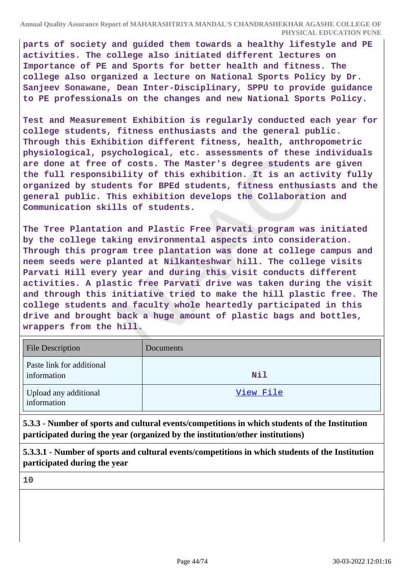**parts of society and guided them towards a healthy lifestyle and PE activities. The college also initiated different lectures on Importance of PE and Sports for better health and fitness. The college also organized a lecture on National Sports Policy by Dr. Sanjeev Sonawane, Dean Inter-Disciplinary, SPPU to provide guidance to PE professionals on the changes and new National Sports Policy.**

**Test and Measurement Exhibition is regularly conducted each year for college students, fitness enthusiasts and the general public. Through this Exhibition different fitness, health, anthropometric physiological, psychological, etc. assessments of these individuals are done at free of costs. The Master's degree students are given the full responsibility of this exhibition. It is an activity fully organized by students for BPEd students, fitness enthusiasts and the general public. This exhibition develops the Collaboration and Communication skills of students.**

**The Tree Plantation and Plastic Free Parvati program was initiated by the college taking environmental aspects into consideration. Through this program tree plantation was done at college campus and neem seeds were planted at Nilkanteshwar hill. The college visits Parvati Hill every year and during this visit conducts different activities. A plastic free Parvati drive was taken during the visit and through this initiative tried to make the hill plastic free. The college students and faculty whole heartedly participated in this drive and brought back a huge amount of plastic bags and bottles, wrappers from the hill.**

| <b>File Description</b>                  | Documents |
|------------------------------------------|-----------|
| Paste link for additional<br>information | Nil       |
| Upload any additional<br>information     | View File |

**5.3.3 - Number of sports and cultural events/competitions in which students of the Institution participated during the year (organized by the institution/other institutions)**

**5.3.3.1 - Number of sports and cultural events/competitions in which students of the Institution participated during the year**

**10**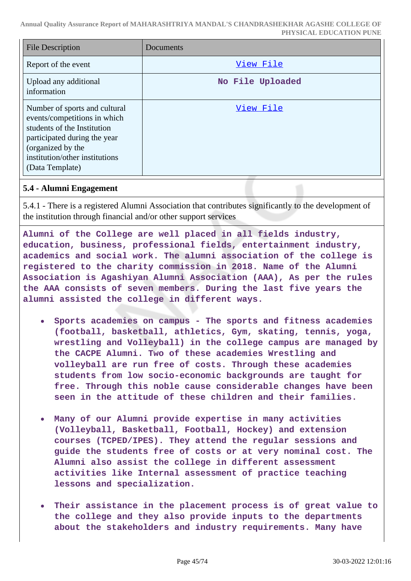| <b>File Description</b>                                                                                                                                                                                | Documents        |
|--------------------------------------------------------------------------------------------------------------------------------------------------------------------------------------------------------|------------------|
| Report of the event                                                                                                                                                                                    | View File        |
| Upload any additional<br>information                                                                                                                                                                   | No File Uploaded |
| Number of sports and cultural<br>events/competitions in which<br>students of the Institution<br>participated during the year<br>(organized by the<br>institution/other institutions<br>(Data Template) | View File        |

### **5.4 - Alumni Engagement**

5.4.1 - There is a registered Alumni Association that contributes significantly to the development of the institution through financial and/or other support services

**Alumni of the College are well placed in all fields industry, education, business, professional fields, entertainment industry, academics and social work. The alumni association of the college is registered to the charity commission in 2018. Name of the Alumni Association is Agashiyan Alumni Association (AAA), As per the rules the AAA consists of seven members. During the last five years the alumni assisted the college in different ways.**

- $\bullet$ **Sports academies on campus - The sports and fitness academies (football, basketball, athletics, Gym, skating, tennis, yoga, wrestling and Volleyball) in the college campus are managed by the CACPE Alumni. Two of these academies Wrestling and volleyball are run free of costs. Through these academies students from low socio-economic backgrounds are taught for free. Through this noble cause considerable changes have been seen in the attitude of these children and their families.**
- **Many of our Alumni provide expertise in many activities (Volleyball, Basketball, Football, Hockey) and extension courses (TCPED/IPES). They attend the regular sessions and guide the students free of costs or at very nominal cost. The Alumni also assist the college in different assessment activities like Internal assessment of practice teaching lessons and specialization.**
- **Their assistance in the placement process is of great value to the college and they also provide inputs to the departments about the stakeholders and industry requirements. Many have**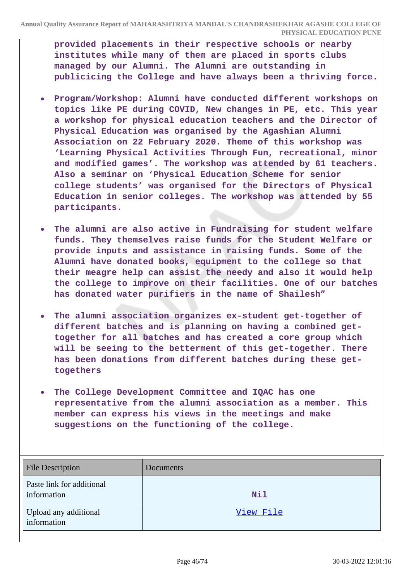**provided placements in their respective schools or nearby institutes while many of them are placed in sports clubs managed by our Alumni. The Alumni are outstanding in publicicing the College and have always been a thriving force.**

- **Program/Workshop: Alumni have conducted different workshops on topics like PE during COVID, New changes in PE, etc. This year a workshop for physical education teachers and the Director of Physical Education was organised by the Agashian Alumni Association on 22 February 2020. Theme of this workshop was 'Learning Physical Activities Through Fun, recreational, minor and modified games'. The workshop was attended by 61 teachers. Also a seminar on 'Physical Education Scheme for senior college students' was organised for the Directors of Physical Education in senior colleges. The workshop was attended by 55 participants.**
- **The alumni are also active in Fundraising for student welfare**  $\bullet$ **funds. They themselves raise funds for the Student Welfare or provide inputs and assistance in raising funds. Some of the Alumni have donated books, equipment to the college so that their meagre help can assist the needy and also it would help the college to improve on their facilities. One of our batches has donated water purifiers in the name of Shailesh"**
- **The alumni association organizes ex-student get-together of**  $\bullet$ **different batches and is planning on having a combined gettogether for all batches and has created a core group which will be seeing to the betterment of this get-together. There has been donations from different batches during these gettogethers**
- **The College Development Committee and IQAC has one representative from the alumni association as a member. This member can express his views in the meetings and make suggestions on the functioning of the college.**

| <b>File Description</b>                  | Documents |
|------------------------------------------|-----------|
| Paste link for additional<br>information | Nil       |
| Upload any additional<br>information     | View File |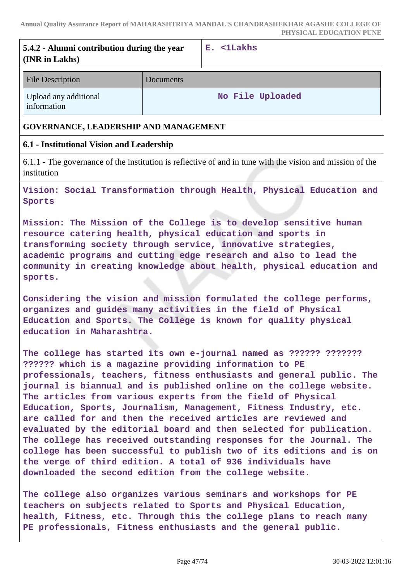| 5.4.2 - Alumni contribution during the year<br>(INR in Lakhs) |                  | E. <1Lakhs       |
|---------------------------------------------------------------|------------------|------------------|
| <b>File Description</b>                                       | <b>Documents</b> |                  |
| Upload any additional<br>information                          |                  | No File Uploaded |

### **GOVERNANCE, LEADERSHIP AND MANAGEMENT**

### **6.1 - Institutional Vision and Leadership**

6.1.1 - The governance of the institution is reflective of and in tune with the vision and mission of the institution

**Vision: Social Transformation through Health, Physical Education and Sports**

**Mission: The Mission of the College is to develop sensitive human resource catering health, physical education and sports in transforming society through service, innovative strategies, academic programs and cutting edge research and also to lead the community in creating knowledge about health, physical education and sports.**

**Considering the vision and mission formulated the college performs, organizes and guides many activities in the field of Physical Education and Sports. The College is known for quality physical education in Maharashtra.**

**The college has started its own e-journal named as ?????? ??????? ?????? which is a magazine providing information to PE professionals, teachers, fitness enthusiasts and general public. The journal is biannual and is published online on the college website. The articles from various experts from the field of Physical Education, Sports, Journalism, Management, Fitness Industry, etc. are called for and then the received articles are reviewed and evaluated by the editorial board and then selected for publication. The college has received outstanding responses for the Journal. The college has been successful to publish two of its editions and is on the verge of third edition. A total of 936 individuals have downloaded the second edition from the college website.**

**The college also organizes various seminars and workshops for PE teachers on subjects related to Sports and Physical Education, health, Fitness, etc. Through this the college plans to reach many PE professionals, Fitness enthusiasts and the general public.**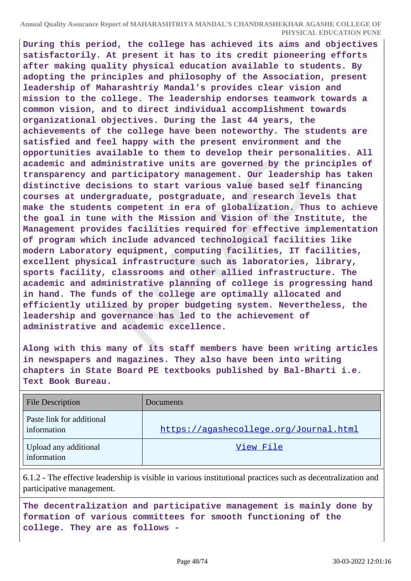**During this period, the college has achieved its aims and objectives satisfactorily. At present it has to its credit pioneering efforts after making quality physical education available to students. By adopting the principles and philosophy of the Association, present leadership of Maharashtriy Mandal's provides clear vision and mission to the college. The leadership endorses teamwork towards a common vision, and to direct individual accomplishment towards organizational objectives. During the last 44 years, the achievements of the college have been noteworthy. The students are satisfied and feel happy with the present environment and the opportunities available to them to develop their personalities. All academic and administrative units are governed by the principles of transparency and participatory management. Our leadership has taken distinctive decisions to start various value based self financing courses at undergraduate, postgraduate, and research levels that make the students competent in era of globalization. Thus to achieve the goal in tune with the Mission and Vision of the Institute, the Management provides facilities required for effective implementation of program which include advanced technological facilities like modern Laboratory equipment, computing facilities, IT facilities, excellent physical infrastructure such as laboratories, library, sports facility, classrooms and other allied infrastructure. The academic and administrative planning of college is progressing hand in hand. The funds of the college are optimally allocated and efficiently utilized by proper budgeting system. Nevertheless, the leadership and governance has led to the achievement of administrative and academic excellence.**

**Along with this many of its staff members have been writing articles in newspapers and magazines. They also have been into writing chapters in State Board PE textbooks published by Bal-Bharti i.e. Text Book Bureau.**

| <b>File Description</b>                  | Documents                              |
|------------------------------------------|----------------------------------------|
| Paste link for additional<br>information | https://agashecollege.org/Journal.html |
| Upload any additional<br>information     | View File                              |

6.1.2 - The effective leadership is visible in various institutional practices such as decentralization and participative management.

**The decentralization and participative management is mainly done by formation of various committees for smooth functioning of the college. They are as follows -**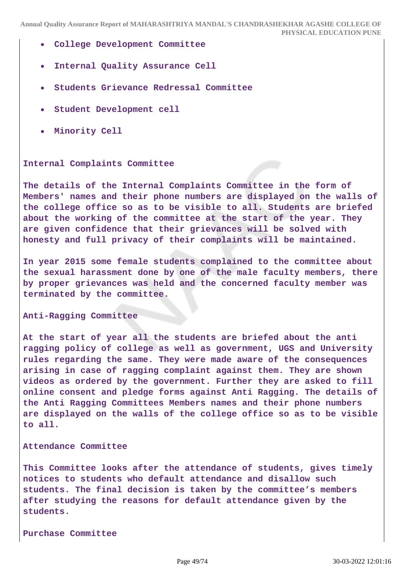- **College Development Committee**
- **Internal Quality Assurance Cell**  $\bullet$
- **Students Grievance Redressal Committee**
- **Student Development cell**
- **Minority Cell**

#### **Internal Complaints Committee**

**The details of the Internal Complaints Committee in the form of Members' names and their phone numbers are displayed on the walls of the college office so as to be visible to all. Students are briefed about the working of the committee at the start of the year. They are given confidence that their grievances will be solved with honesty and full privacy of their complaints will be maintained.**

**In year 2015 some female students complained to the committee about the sexual harassment done by one of the male faculty members, there by proper grievances was held and the concerned faculty member was terminated by the committee.**

**Anti-Ragging Committee**

**At the start of year all the students are briefed about the anti ragging policy of college as well as government, UGS and University rules regarding the same. They were made aware of the consequences arising in case of ragging complaint against them. They are shown videos as ordered by the government. Further they are asked to fill online consent and pledge forms against Anti Ragging. The details of the Anti Ragging Committees Members names and their phone numbers are displayed on the walls of the college office so as to be visible to all.**

#### **Attendance Committee**

**This Committee looks after the attendance of students, gives timely notices to students who default attendance and disallow such students. The final decision is taken by the committee's members after studying the reasons for default attendance given by the students.**

**Purchase Committee**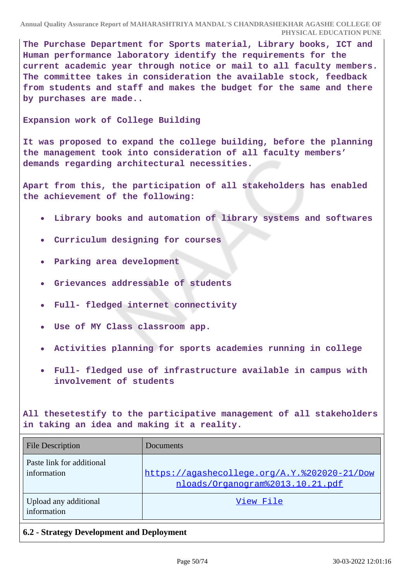**The Purchase Department for Sports material, Library books, ICT and Human performance laboratory identify the requirements for the current academic year through notice or mail to all faculty members. The committee takes in consideration the available stock, feedback from students and staff and makes the budget for the same and there by purchases are made..**

**Expansion work of College Building**

**It was proposed to expand the college building, before the planning the management took into consideration of all faculty members' demands regarding architectural necessities.**

**Apart from this, the participation of all stakeholders has enabled the achievement of the following:**

- **Library books and automation of library systems and softwares**
- **Curriculum designing for courses**
- **Parking area development**
- **Grievances addressable of students**
- **Full- fledged internet connectivity**
- **Use of MY Class classroom app.**
- **Activities planning for sports academies running in college**
- **Full- fledged use of infrastructure available in campus with involvement of students**

**All thesetestify to the participative management of all stakeholders in taking an idea and making it a reality.**

| <b>File Description</b>                  | Documents                                                                        |
|------------------------------------------|----------------------------------------------------------------------------------|
| Paste link for additional<br>information | https://agashecollege.org/A.Y.%202020-21/Dow<br>nloads/Organogram%2013.10.21.pdf |
| Upload any additional<br>information     | View File                                                                        |

# **6.2 - Strategy Development and Deployment**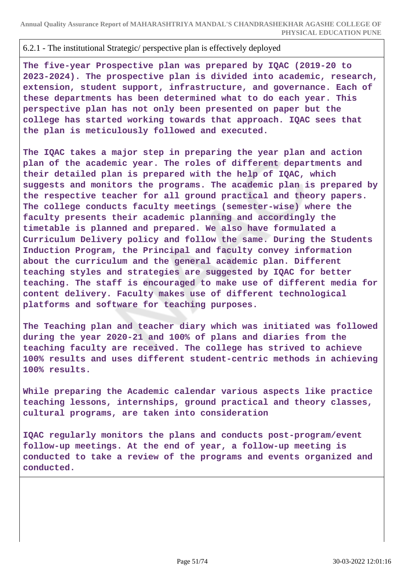### 6.2.1 - The institutional Strategic/ perspective plan is effectively deployed

**The five-year Prospective plan was prepared by IQAC (2019-20 to 2023-2024). The prospective plan is divided into academic, research, extension, student support, infrastructure, and governance. Each of these departments has been determined what to do each year. This perspective plan has not only been presented on paper but the college has started working towards that approach. IQAC sees that the plan is meticulously followed and executed.**

**The IQAC takes a major step in preparing the year plan and action plan of the academic year. The roles of different departments and their detailed plan is prepared with the help of IQAC, which suggests and monitors the programs. The academic plan is prepared by the respective teacher for all ground practical and theory papers. The college conducts faculty meetings (semester-wise) where the faculty presents their academic planning and accordingly the timetable is planned and prepared. We also have formulated a Curriculum Delivery policy and follow the same. During the Students Induction Program, the Principal and faculty convey information about the curriculum and the general academic plan. Different teaching styles and strategies are suggested by IQAC for better teaching. The staff is encouraged to make use of different media for content delivery. Faculty makes use of different technological platforms and software for teaching purposes.**

**The Teaching plan and teacher diary which was initiated was followed during the year 2020-21 and 100% of plans and diaries from the teaching faculty are received. The college has strived to achieve 100% results and uses different student-centric methods in achieving 100% results.**

**While preparing the Academic calendar various aspects like practice teaching lessons, internships, ground practical and theory classes, cultural programs, are taken into consideration**

**IQAC regularly monitors the plans and conducts post-program/event follow-up meetings. At the end of year, a follow-up meeting is conducted to take a review of the programs and events organized and conducted.**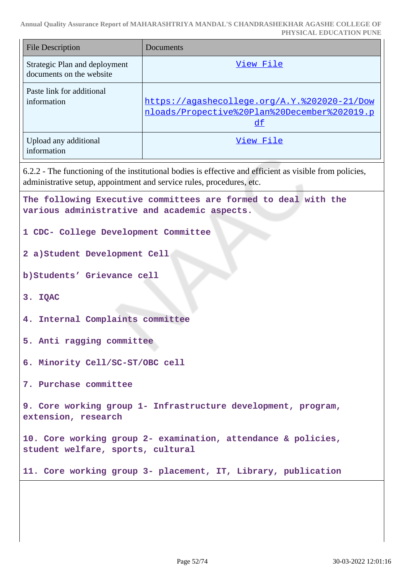**Annual Quality Assurance Report of MAHARASHTRIYA MANDAL'S CHANDRASHEKHAR AGASHE COLLEGE OF**

|                                                                                                    | PHYSICAL EDUCATION PUNE                                                                                                                                                           |  |
|----------------------------------------------------------------------------------------------------|-----------------------------------------------------------------------------------------------------------------------------------------------------------------------------------|--|
| <b>File Description</b>                                                                            | Documents                                                                                                                                                                         |  |
| Strategic Plan and deployment<br>documents on the website                                          | View File                                                                                                                                                                         |  |
| Paste link for additional<br>information                                                           | https://agashecollege.org/A.Y.%202020-21/Dow<br>nloads/Propective%20Plan%20December%202019.p<br>df                                                                                |  |
| Upload any additional<br>information                                                               | View File                                                                                                                                                                         |  |
|                                                                                                    | 6.2.2 - The functioning of the institutional bodies is effective and efficient as visible from policies,<br>administrative setup, appointment and service rules, procedures, etc. |  |
| various administrative and academic aspects.                                                       | The following Executive committees are formed to deal with the                                                                                                                    |  |
| 1 CDC- College Development Committee                                                               |                                                                                                                                                                                   |  |
| 2 a) Student Development Cell                                                                      |                                                                                                                                                                                   |  |
| b) Students' Grievance cell                                                                        |                                                                                                                                                                                   |  |
| 3. IQAC                                                                                            |                                                                                                                                                                                   |  |
| 4. Internal Complaints committee                                                                   |                                                                                                                                                                                   |  |
| 5. Anti ragging committee                                                                          |                                                                                                                                                                                   |  |
| 6. Minority Cell/SC-ST/OBC cell                                                                    |                                                                                                                                                                                   |  |
| 7. Purchase committee                                                                              |                                                                                                                                                                                   |  |
| 9. Core working group 1- Infrastructure development, program,<br>extension, research               |                                                                                                                                                                                   |  |
| 10. Core working group 2- examination, attendance & policies,<br>student welfare, sports, cultural |                                                                                                                                                                                   |  |
|                                                                                                    | 11. Core working group 3- placement, IT, Library, publication                                                                                                                     |  |
|                                                                                                    |                                                                                                                                                                                   |  |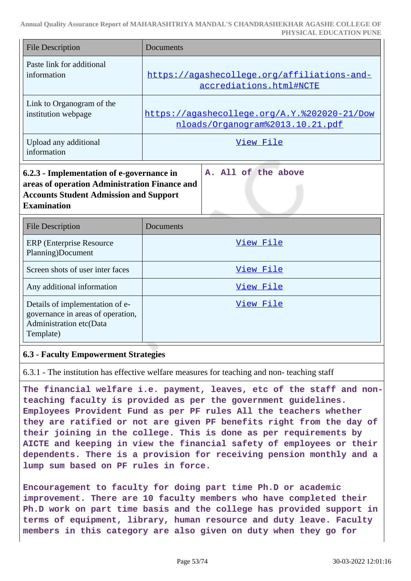| <b>File Description</b>                                                                                                                                           | Documents                                                                        |  |
|-------------------------------------------------------------------------------------------------------------------------------------------------------------------|----------------------------------------------------------------------------------|--|
| Paste link for additional<br>information                                                                                                                          | https://agashecollege.org/affiliations-and-<br>accrediations.html#NCTE           |  |
| Link to Organogram of the<br>institution webpage                                                                                                                  | https://agashecollege.org/A.Y.%202020-21/Dow<br>nloads/Organogram%2013.10.21.pdf |  |
| Upload any additional<br>information                                                                                                                              | View File                                                                        |  |
| 6.2.3 - Implementation of e-governance in<br>areas of operation Administration Finance and<br><b>Accounts Student Admission and Support</b><br><b>Examination</b> | A. All of the above                                                              |  |
| <b>File Description</b>                                                                                                                                           | Documents                                                                        |  |
| <b>ERP</b> (Enterprise Resource<br>Planning)Document                                                                                                              | View File                                                                        |  |
| Screen shots of user inter faces                                                                                                                                  | View File                                                                        |  |
| Any additional information                                                                                                                                        | View File                                                                        |  |
| Details of implementation of e-<br>governance in areas of operation,<br>Administration etc(Data<br>Template)                                                      | View File                                                                        |  |

### **6.3 - Faculty Empowerment Strategies**

6.3.1 - The institution has effective welfare measures for teaching and non- teaching staff

**The financial welfare i.e. payment, leaves, etc of the staff and nonteaching faculty is provided as per the government guidelines. Employees Provident Fund as per PF rules All the teachers whether they are ratified or not are given PF benefits right from the day of their joining in the college. This is done as per requirements by AICTE and keeping in view the financial safety of employees or their dependents. There is a provision for receiving pension monthly and a lump sum based on PF rules in force.**

**Encouragement to faculty for doing part time Ph.D or academic improvement. There are 10 faculty members who have completed their Ph.D work on part time basis and the college has provided support in terms of equipment, library, human resource and duty leave. Faculty members in this category are also given on duty when they go for**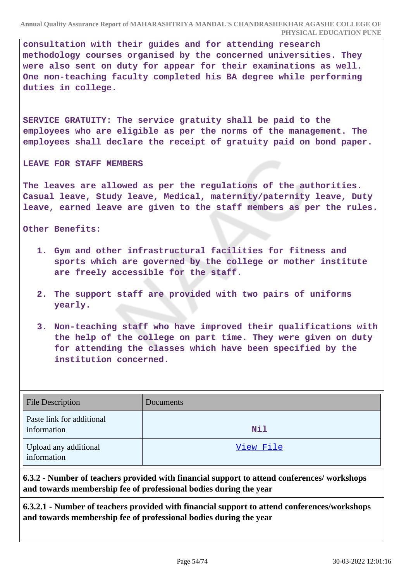**consultation with their guides and for attending research methodology courses organised by the concerned universities. They were also sent on duty for appear for their examinations as well. One non-teaching faculty completed his BA degree while performing duties in college.**

**SERVICE GRATUITY: The service gratuity shall be paid to the employees who are eligible as per the norms of the management. The employees shall declare the receipt of gratuity paid on bond paper.**

**LEAVE FOR STAFF MEMBERS**

**The leaves are allowed as per the regulations of the authorities. Casual leave, Study leave, Medical, maternity/paternity leave, Duty leave, earned leave are given to the staff members as per the rules.**

**Other Benefits:**

- **1. Gym and other infrastructural facilities for fitness and sports which are governed by the college or mother institute are freely accessible for the staff.**
- **2. The support staff are provided with two pairs of uniforms yearly.**
- **3. Non-teaching staff who have improved their qualifications with the help of the college on part time. They were given on duty for attending the classes which have been specified by the institution concerned.**

| <b>File Description</b>                  | Documents |
|------------------------------------------|-----------|
| Paste link for additional<br>information | Nil       |
| Upload any additional<br>information     | View File |

**6.3.2 - Number of teachers provided with financial support to attend conferences/ workshops and towards membership fee of professional bodies during the year**

**6.3.2.1 - Number of teachers provided with financial support to attend conferences/workshops and towards membership fee of professional bodies during the year**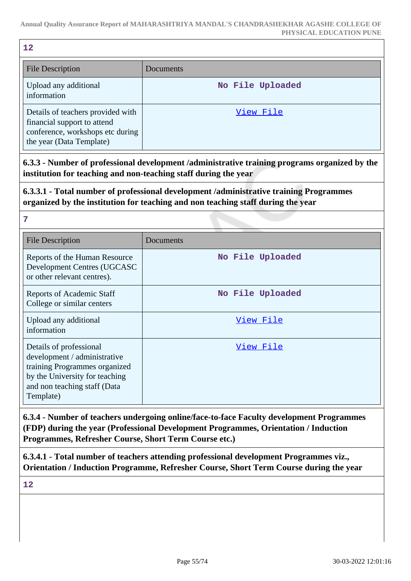| 12                                                                                                   |                  |
|------------------------------------------------------------------------------------------------------|------------------|
| <b>File Description</b>                                                                              | Documents        |
| Upload any additional<br>information                                                                 | No File Uploaded |
| Details of teachers provided with<br>financial support to attend<br>conference, workshops etc during | View File        |

**6.3.3 - Number of professional development /administrative training programs organized by the institution for teaching and non-teaching staff during the year**

**6.3.3.1 - Total number of professional development /administrative training Programmes organized by the institution for teaching and non teaching staff during the year**

**7**

the year (Data Template)

| <b>File Description</b>                                                                                                                                                 | Documents        |
|-------------------------------------------------------------------------------------------------------------------------------------------------------------------------|------------------|
| Reports of the Human Resource<br>Development Centres (UGCASC<br>or other relevant centres).                                                                             | No File Uploaded |
| <b>Reports of Academic Staff</b><br>College or similar centers                                                                                                          | No File Uploaded |
| Upload any additional<br>information                                                                                                                                    | View File        |
| Details of professional<br>development / administrative<br>training Programmes organized<br>by the University for teaching<br>and non teaching staff (Data<br>Template) | <u>View File</u> |

**6.3.4 - Number of teachers undergoing online/face-to-face Faculty development Programmes (FDP) during the year (Professional Development Programmes, Orientation / Induction Programmes, Refresher Course, Short Term Course etc.)**

**6.3.4.1 - Total number of teachers attending professional development Programmes viz., Orientation / Induction Programme, Refresher Course, Short Term Course during the year**

**12**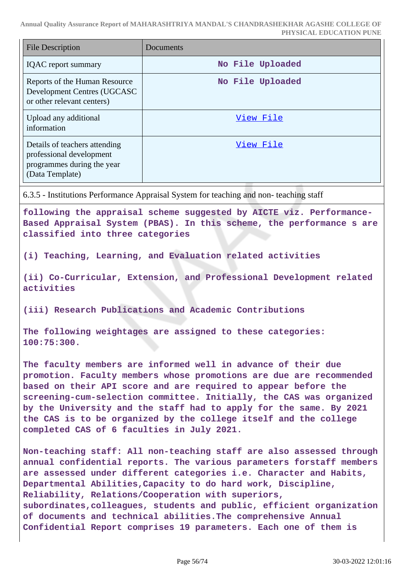| <b>File Description</b>                                                                                    | Documents        |
|------------------------------------------------------------------------------------------------------------|------------------|
| <b>IQAC</b> report summary                                                                                 | No File Uploaded |
| Reports of the Human Resource<br>Development Centres (UGCASC<br>or other relevant centers)                 | No File Uploaded |
| Upload any additional<br>information                                                                       | View File        |
| Details of teachers attending<br>professional development<br>programmes during the year<br>(Data Template) | View File        |

6.3.5 - Institutions Performance Appraisal System for teaching and non- teaching staff

**following the appraisal scheme suggested by AICTE viz. Performance-Based Appraisal System (PBAS). In this scheme, the performance s are classified into three categories**

**(i) Teaching, Learning, and Evaluation related activities**

**(ii) Co-Curricular, Extension, and Professional Development related activities**

**(iii) Research Publications and Academic Contributions**

**The following weightages are assigned to these categories: 100:75:300.**

**The faculty members are informed well in advance of their due promotion. Faculty members whose promotions are due are recommended based on their API score and are required to appear before the screening-cum-selection committee. Initially, the CAS was organized by the University and the staff had to apply for the same. By 2021 the CAS is to be organized by the college itself and the college completed CAS of 6 faculties in July 2021.**

**Non-teaching staff: All non-teaching staff are also assessed through annual confidential reports. The various parameters forstaff members are assessed under different categories i.e. Character and Habits, Departmental Abilities,Capacity to do hard work, Discipline, Reliability, Relations/Cooperation with superiors, subordinates,colleagues, students and public, efficient organization of documents and technical abilities.The comprehensive Annual Confidential Report comprises 19 parameters. Each one of them is**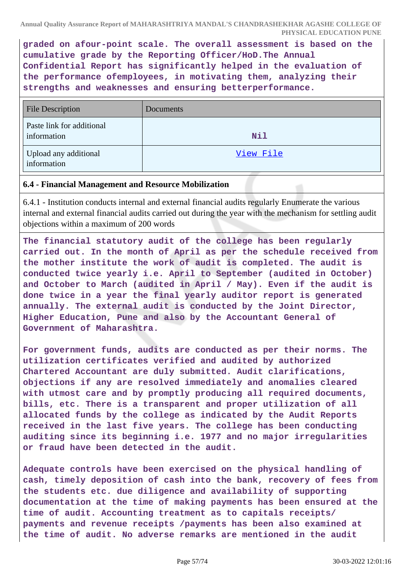**graded on afour-point scale. The overall assessment is based on the cumulative grade by the Reporting Officer/HoD.The Annual Confidential Report has significantly helped in the evaluation of the performance ofemployees, in motivating them, analyzing their strengths and weaknesses and ensuring betterperformance.**

| <b>File Description</b>                  | Documents |
|------------------------------------------|-----------|
| Paste link for additional<br>information | Nil       |
| Upload any additional<br>information     | View File |

### **6.4 - Financial Management and Resource Mobilization**

6.4.1 - Institution conducts internal and external financial audits regularly Enumerate the various internal and external financial audits carried out during the year with the mechanism for settling audit objections within a maximum of 200 words

**The financial statutory audit of the college has been regularly carried out. In the month of April as per the schedule received from the mother institute the work of audit is completed. The audit is conducted twice yearly i.e. April to September (audited in October) and October to March (audited in April / May). Even if the audit is done twice in a year the final yearly auditor report is generated annually. The external audit is conducted by the Joint Director, Higher Education, Pune and also by the Accountant General of Government of Maharashtra.**

**For government funds, audits are conducted as per their norms. The utilization certificates verified and audited by authorized Chartered Accountant are duly submitted. Audit clarifications, objections if any are resolved immediately and anomalies cleared with utmost care and by promptly producing all required documents, bills, etc. There is a transparent and proper utilization of all allocated funds by the college as indicated by the Audit Reports received in the last five years. The college has been conducting auditing since its beginning i.e. 1977 and no major irregularities or fraud have been detected in the audit.**

**Adequate controls have been exercised on the physical handling of cash, timely deposition of cash into the bank, recovery of fees from the students etc. due diligence and availability of supporting documentation at the time of making payments has been ensured at the time of audit. Accounting treatment as to capitals receipts/ payments and revenue receipts /payments has been also examined at the time of audit. No adverse remarks are mentioned in the audit**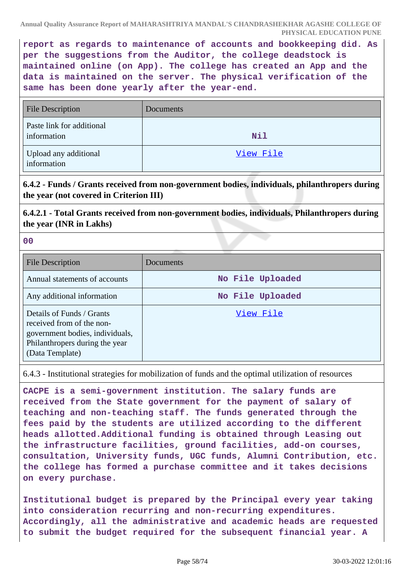**report as regards to maintenance of accounts and bookkeeping did. As per the suggestions from the Auditor, the college deadstock is maintained online (on App). The college has created an App and the data is maintained on the server. The physical verification of the same has been done yearly after the year-end.**

| <b>File Description</b>                  | Documents |
|------------------------------------------|-----------|
| Paste link for additional<br>information | Nil       |
| Upload any additional<br>information     | View File |

# **6.4.2 - Funds / Grants received from non-government bodies, individuals, philanthropers during the year (not covered in Criterion III)**

**6.4.2.1 - Total Grants received from non-government bodies, individuals, Philanthropers during the year (INR in Lakhs)**

**00**

| <b>File Description</b>                                                                                                                        | Documents        |
|------------------------------------------------------------------------------------------------------------------------------------------------|------------------|
| Annual statements of accounts                                                                                                                  | No File Uploaded |
| Any additional information                                                                                                                     | No File Uploaded |
| Details of Funds / Grants<br>received from of the non-<br>government bodies, individuals,<br>Philanthropers during the year<br>(Data Template) | View File        |

6.4.3 - Institutional strategies for mobilization of funds and the optimal utilization of resources

**CACPE is a semi-government institution. The salary funds are received from the State government for the payment of salary of teaching and non-teaching staff. The funds generated through the fees paid by the students are utilized according to the different heads allotted.Additional funding is obtained through Leasing out the infrastructure facilities, ground facilities, add-on courses, consultation, University funds, UGC funds, Alumni Contribution, etc. the college has formed a purchase committee and it takes decisions on every purchase.**

**Institutional budget is prepared by the Principal every year taking into consideration recurring and non-recurring expenditures. Accordingly, all the administrative and academic heads are requested to submit the budget required for the subsequent financial year. A**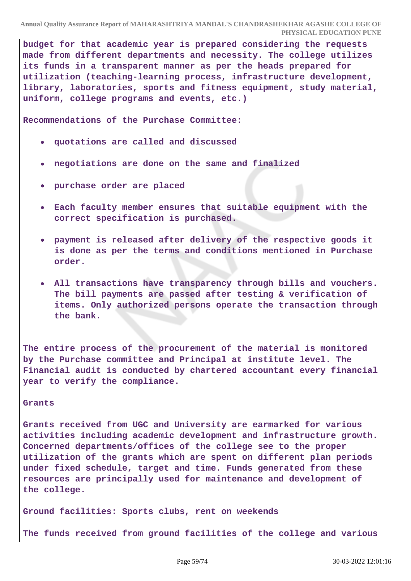**budget for that academic year is prepared considering the requests made from different departments and necessity. The college utilizes its funds in a transparent manner as per the heads prepared for utilization (teaching-learning process, infrastructure development, library, laboratories, sports and fitness equipment, study material, uniform, college programs and events, etc.)**

**Recommendations of the Purchase Committee:**

- **quotations are called and discussed**
- **negotiations are done on the same and finalized**
- **purchase order are placed**
- **Each faculty member ensures that suitable equipment with the correct specification is purchased.**
- **payment is released after delivery of the respective goods it is done as per the terms and conditions mentioned in Purchase order.**
- **All transactions have transparency through bills and vouchers. The bill payments are passed after testing & verification of items. Only authorized persons operate the transaction through the bank.**

**The entire process of the procurement of the material is monitored by the Purchase committee and Principal at institute level. The Financial audit is conducted by chartered accountant every financial year to verify the compliance.**

#### **Grants**

**Grants received from UGC and University are earmarked for various activities including academic development and infrastructure growth. Concerned departments/offices of the college see to the proper utilization of the grants which are spent on different plan periods under fixed schedule, target and time. Funds generated from these resources are principally used for maintenance and development of the college.**

**Ground facilities: Sports clubs, rent on weekends**

**The funds received from ground facilities of the college and various**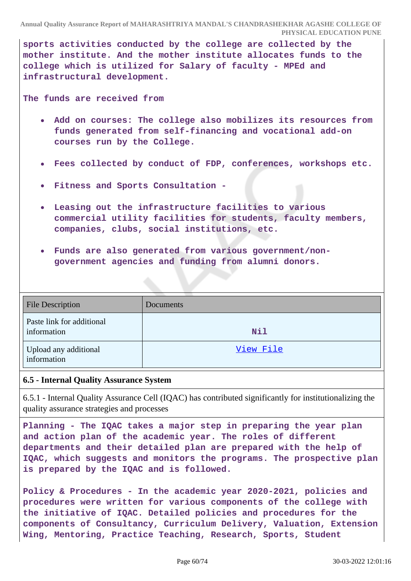**sports activities conducted by the college are collected by the mother institute. And the mother institute allocates funds to the college which is utilized for Salary of faculty - MPEd and infrastructural development.**

**The funds are received from**

- **Add on courses: The college also mobilizes its resources from funds generated from self-financing and vocational add-on courses run by the College.**
- **Fees collected by conduct of FDP, conferences, workshops etc.**  $\bullet$
- **Fitness and Sports Consultation -**
- **Leasing out the infrastructure facilities to various commercial utility facilities for students, faculty members, companies, clubs, social institutions, etc.**
- **Funds are also generated from various government/nongovernment agencies and funding from alumni donors.**

| <b>File Description</b>                  | Documents |
|------------------------------------------|-----------|
| Paste link for additional<br>information | Nil       |
| Upload any additional<br>information     | View File |

### **6.5 - Internal Quality Assurance System**

6.5.1 - Internal Quality Assurance Cell (IQAC) has contributed significantly for institutionalizing the quality assurance strategies and processes

**Planning - The IQAC takes a major step in preparing the year plan and action plan of the academic year. The roles of different departments and their detailed plan are prepared with the help of IQAC, which suggests and monitors the programs. The prospective plan is prepared by the IQAC and is followed.**

**Policy & Procedures - In the academic year 2020-2021, policies and procedures were written for various components of the college with the initiative of IQAC. Detailed policies and procedures for the components of Consultancy, Curriculum Delivery, Valuation, Extension Wing, Mentoring, Practice Teaching, Research, Sports, Student**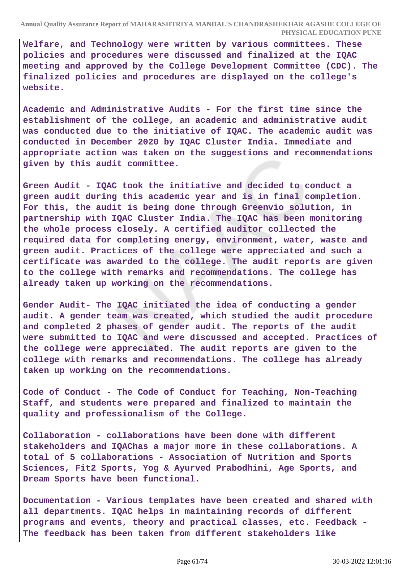**Welfare, and Technology were written by various committees. These policies and procedures were discussed and finalized at the IQAC meeting and approved by the College Development Committee (CDC). The finalized policies and procedures are displayed on the college's website.**

**Academic and Administrative Audits - For the first time since the establishment of the college, an academic and administrative audit was conducted due to the initiative of IQAC. The academic audit was conducted in December 2020 by IQAC Cluster India. Immediate and appropriate action was taken on the suggestions and recommendations given by this audit committee.**

**Green Audit - IQAC took the initiative and decided to conduct a green audit during this academic year and is in final completion. For this, the audit is being done through Greenvio solution, in partnership with IQAC Cluster India. The IQAC has been monitoring the whole process closely. A certified auditor collected the required data for completing energy, environment, water, waste and green audit. Practices of the college were appreciated and such a certificate was awarded to the college. The audit reports are given to the college with remarks and recommendations. The college has already taken up working on the recommendations.**

**Gender Audit- The IQAC initiated the idea of conducting a gender audit. A gender team was created, which studied the audit procedure and completed 2 phases of gender audit. The reports of the audit were submitted to IQAC and were discussed and accepted. Practices of the college were appreciated. The audit reports are given to the college with remarks and recommendations. The college has already taken up working on the recommendations.**

**Code of Conduct - The Code of Conduct for Teaching, Non-Teaching Staff, and students were prepared and finalized to maintain the quality and professionalism of the College.**

**Collaboration - collaborations have been done with different stakeholders and IQAChas a major more in these collaborations. A total of 5 collaborations - Association of Nutrition and Sports Sciences, Fit2 Sports, Yog & Ayurved Prabodhini, Age Sports, and Dream Sports have been functional.**

**Documentation - Various templates have been created and shared with all departments. IQAC helps in maintaining records of different programs and events, theory and practical classes, etc. Feedback - The feedback has been taken from different stakeholders like**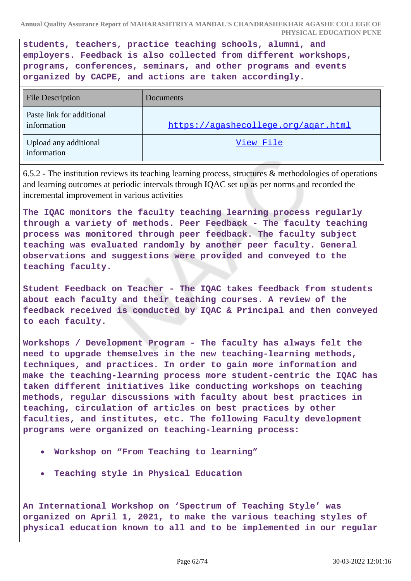**students, teachers, practice teaching schools, alumni, and employers. Feedback is also collected from different workshops, programs, conferences, seminars, and other programs and events organized by CACPE, and actions are taken accordingly.**

| <b>File Description</b>                  | <b>Documents</b>                    |
|------------------------------------------|-------------------------------------|
| Paste link for additional<br>information | https://agashecollege.org/agar.html |
| Upload any additional<br>information     | View File                           |

6.5.2 - The institution reviews its teaching learning process, structures & methodologies of operations and learning outcomes at periodic intervals through IQAC set up as per norms and recorded the incremental improvement in various activities

**The IQAC monitors the faculty teaching learning process regularly through a variety of methods. Peer Feedback - The faculty teaching process was monitored through peer feedback. The faculty subject teaching was evaluated randomly by another peer faculty. General observations and suggestions were provided and conveyed to the teaching faculty.**

**Student Feedback on Teacher - The IQAC takes feedback from students about each faculty and their teaching courses. A review of the feedback received is conducted by IQAC & Principal and then conveyed to each faculty.**

**Workshops / Development Program - The faculty has always felt the need to upgrade themselves in the new teaching-learning methods, techniques, and practices. In order to gain more information and make the teaching-learning process more student-centric the IQAC has taken different initiatives like conducting workshops on teaching methods, regular discussions with faculty about best practices in teaching, circulation of articles on best practices by other faculties, and institutes, etc. The following Faculty development programs were organized on teaching-learning process:**

- **Workshop on "From Teaching to learning"**
- **Teaching style in Physical Education**

**An International Workshop on 'Spectrum of Teaching Style' was organized on April 1, 2021, to make the various teaching styles of physical education known to all and to be implemented in our regular**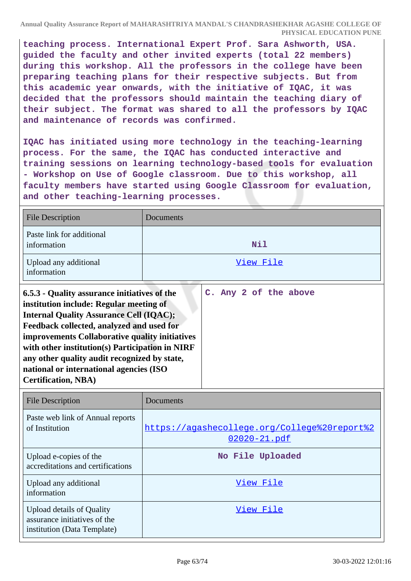**teaching process. International Expert Prof. Sara Ashworth, USA. guided the faculty and other invited experts (total 22 members) during this workshop. All the professors in the college have been preparing teaching plans for their respective subjects. But from this academic year onwards, with the initiative of IQAC, it was decided that the professors should maintain the teaching diary of their subject. The format was shared to all the professors by IQAC and maintenance of records was confirmed.**

**IQAC has initiated using more technology in the teaching-learning process. For the same, the IQAC has conducted interactive and training sessions on learning technology-based tools for evaluation - Workshop on Use of Google classroom. Due to this workshop, all faculty members have started using Google Classroom for evaluation, and other teaching-learning processes.**

| <b>File Description</b>                  | Documents |
|------------------------------------------|-----------|
| Paste link for additional<br>information | Nil       |
| Upload any additional<br>information     | View File |

| 6.5.3 - Quality assurance initiatives of the    |  |  | C. Any 2 of the above |
|-------------------------------------------------|--|--|-----------------------|
| institution include: Regular meeting of         |  |  |                       |
| <b>Internal Quality Assurance Cell (IQAC);</b>  |  |  |                       |
| Feedback collected, analyzed and used for       |  |  |                       |
| improvements Collaborative quality initiatives  |  |  |                       |
| with other institution(s) Participation in NIRF |  |  |                       |
| any other quality audit recognized by state,    |  |  |                       |
| national or international agencies (ISO         |  |  |                       |
| <b>Certification, NBA)</b>                      |  |  |                       |

| <b>File Description</b>                                                                         | Documents                                                         |
|-------------------------------------------------------------------------------------------------|-------------------------------------------------------------------|
| Paste web link of Annual reports<br>of Institution                                              | https://agashecollege.org/College%20report%2<br>$02020 - 21$ .pdf |
| Upload e-copies of the<br>accreditations and certifications                                     | No File Uploaded                                                  |
| Upload any additional<br>information                                                            | View File                                                         |
| <b>Upload details of Quality</b><br>assurance initiatives of the<br>institution (Data Template) | View File                                                         |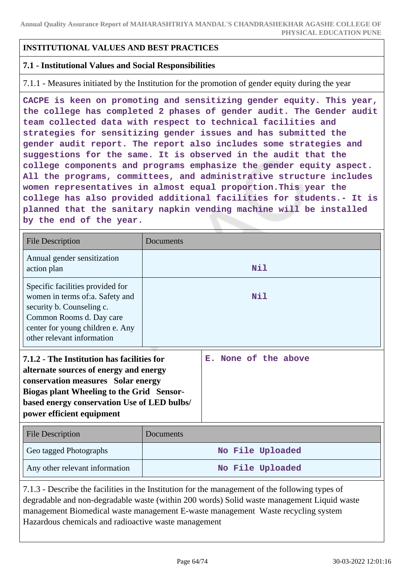## **INSTITUTIONAL VALUES AND BEST PRACTICES**

### **7.1 - Institutional Values and Social Responsibilities**

7.1.1 - Measures initiated by the Institution for the promotion of gender equity during the year

**CACPE is keen on promoting and sensitizing gender equity. This year, the college has completed 2 phases of gender audit. The Gender audit team collected data with respect to technical facilities and strategies for sensitizing gender issues and has submitted the gender audit report. The report also includes some strategies and suggestions for the same. It is observed in the audit that the college components and programs emphasize the gender equity aspect. All the programs, committees, and administrative structure includes women representatives in almost equal proportion.This year the college has also provided additional facilities for students.- It is planned that the sanitary napkin vending machine will be installed by the end of the year.**

| <b>File Description</b>                                                                                                                                                                                                                                    | Documents        |                         |  |  |  |  |
|------------------------------------------------------------------------------------------------------------------------------------------------------------------------------------------------------------------------------------------------------------|------------------|-------------------------|--|--|--|--|
| Annual gender sensitization<br>action plan                                                                                                                                                                                                                 |                  | Nil                     |  |  |  |  |
| Specific facilities provided for<br>women in terms of:a. Safety and<br>security b. Counseling c.<br>Common Rooms d. Day care<br>center for young children e. Any<br>other relevant information                                                             | Nil              |                         |  |  |  |  |
| 7.1.2 - The Institution has facilities for<br>alternate sources of energy and energy<br>conservation measures Solar energy<br><b>Biogas plant Wheeling to the Grid Sensor-</b><br>based energy conservation Use of LED bulbs/<br>power efficient equipment |                  | None of the above<br>Е. |  |  |  |  |
| <b>File Description</b>                                                                                                                                                                                                                                    | Documents        |                         |  |  |  |  |
| Geo tagged Photographs                                                                                                                                                                                                                                     | No File Uploaded |                         |  |  |  |  |
| Any other relevant information                                                                                                                                                                                                                             | No File Uploaded |                         |  |  |  |  |

7.1.3 - Describe the facilities in the Institution for the management of the following types of degradable and non-degradable waste (within 200 words) Solid waste management Liquid waste management Biomedical waste management E-waste management Waste recycling system Hazardous chemicals and radioactive waste management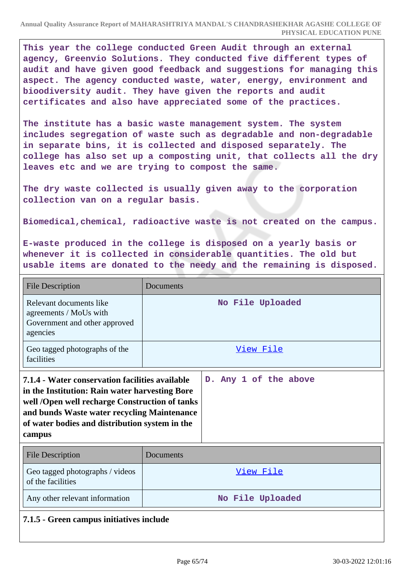**This year the college conducted Green Audit through an external agency, Greenvio Solutions. They conducted five different types of audit and have given good feedback and suggestions for managing this aspect. The agency conducted waste, water, energy, environment and bioodiversity audit. They have given the reports and audit certificates and also have appreciated some of the practices.**

**The institute has a basic waste management system. The system includes segregation of waste such as degradable and non-degradable in separate bins, it is collected and disposed separately. The college has also set up a composting unit, that collects all the dry leaves etc and we are trying to compost the same.**

**The dry waste collected is usually given away to the corporation collection van on a regular basis.**

**Biomedical,chemical, radioactive waste is not created on the campus.**

**E-waste produced in the college is disposed on a yearly basis or whenever it is collected in considerable quantities. The old but usable items are donated to the needy and the remaining is disposed.**

| <b>File Description</b>                                                                                                                                                                                                                                        | Documents        |                       |  |  |  |  |  |
|----------------------------------------------------------------------------------------------------------------------------------------------------------------------------------------------------------------------------------------------------------------|------------------|-----------------------|--|--|--|--|--|
| Relevant documents like<br>agreements / MoUs with<br>Government and other approved<br>agencies                                                                                                                                                                 | No File Uploaded |                       |  |  |  |  |  |
| Geo tagged photographs of the<br>facilities                                                                                                                                                                                                                    | View File        |                       |  |  |  |  |  |
| 7.1.4 - Water conservation facilities available<br>in the Institution: Rain water harvesting Bore<br>well /Open well recharge Construction of tanks<br>and bunds Waste water recycling Maintenance<br>of water bodies and distribution system in the<br>campus |                  | D. Any 1 of the above |  |  |  |  |  |
| <b>File Description</b>                                                                                                                                                                                                                                        | Documents        |                       |  |  |  |  |  |
| Geo tagged photographs / videos<br>of the facilities                                                                                                                                                                                                           | <u>View File</u> |                       |  |  |  |  |  |
| Any other relevant information                                                                                                                                                                                                                                 | No File Uploaded |                       |  |  |  |  |  |
| 7.1.5 - Green campus initiatives include                                                                                                                                                                                                                       |                  |                       |  |  |  |  |  |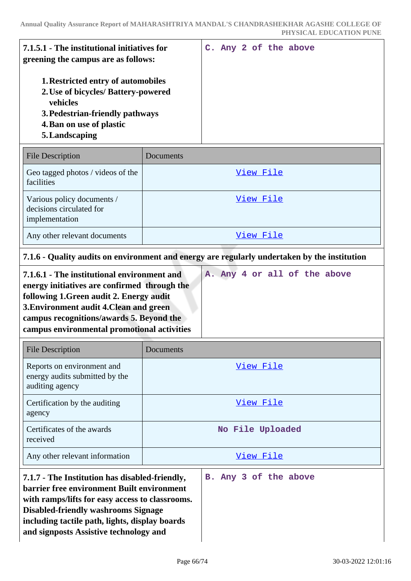| 7.1.5.1 - The institutional initiatives for<br>greening the campus are as follows:                                                                                            |  |  | C. Any 2 of the above |
|-------------------------------------------------------------------------------------------------------------------------------------------------------------------------------|--|--|-----------------------|
| <b>1. Restricted entry of automobiles</b><br>2. Use of bicycles/ Battery-powered<br>vehicles<br>3. Pedestrian-friendly pathways<br>4. Ban on use of plastic<br>5. Landscaping |  |  |                       |

| <b>File Description</b>                                                  | Documents |
|--------------------------------------------------------------------------|-----------|
| Geo tagged photos / videos of the<br>facilities                          | View File |
| Various policy documents /<br>decisions circulated for<br>implementation | View File |
| Any other relevant documents                                             | View File |

# **7.1.6 - Quality audits on environment and energy are regularly undertaken by the institution**

| 7.1.6.1 - The institutional environment and  |  |  |  | A. Any 4 or all of the above |  |
|----------------------------------------------|--|--|--|------------------------------|--|
| energy initiatives are confirmed through the |  |  |  |                              |  |
| following 1. Green audit 2. Energy audit     |  |  |  |                              |  |
| 3. Environment audit 4. Clean and green      |  |  |  |                              |  |
| campus recognitions/awards 5. Beyond the     |  |  |  |                              |  |
| campus environmental promotional activities  |  |  |  |                              |  |
|                                              |  |  |  |                              |  |

| <b>File Description</b>                                                                                                                                                                  | Documents             |  |  |  |  |  |  |
|------------------------------------------------------------------------------------------------------------------------------------------------------------------------------------------|-----------------------|--|--|--|--|--|--|
| Reports on environment and<br>energy audits submitted by the<br>auditing agency                                                                                                          | View File             |  |  |  |  |  |  |
| Certification by the auditing<br>agency                                                                                                                                                  | View File             |  |  |  |  |  |  |
| Certificates of the awards<br>received                                                                                                                                                   | No File Uploaded      |  |  |  |  |  |  |
| Any other relevant information                                                                                                                                                           | View File             |  |  |  |  |  |  |
| 7.1.7 - The Institution has disabled-friendly,<br>barrier free environment Built environment<br>with ramps/lifts for easy access to classrooms.<br>Disabled futurelly week users Ciences | B. Any 3 of the above |  |  |  |  |  |  |

**Disabled-friendly washrooms Signage including tactile path, lights, display boards**

**and signposts Assistive technology and**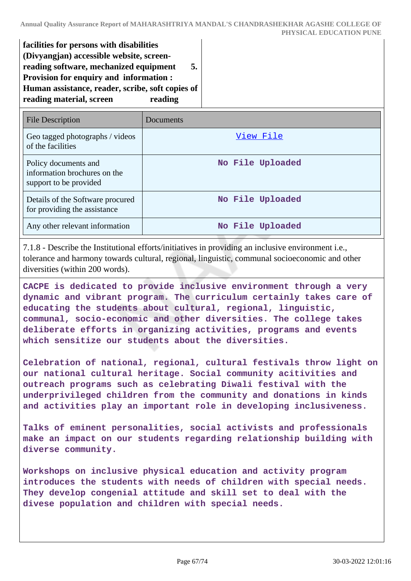| facilities for persons with disabilities         |
|--------------------------------------------------|
| (Divyangjan) accessible website, screen-         |
| reading software, mechanized equipment<br>5.     |
| Provision for enquiry and information :          |
| Human assistance, reader, scribe, soft copies of |
| reading                                          |
|                                                  |

| <b>File Description</b>                                                        | Documents        |
|--------------------------------------------------------------------------------|------------------|
| Geo tagged photographs / videos<br>of the facilities                           | View File        |
| Policy documents and<br>information brochures on the<br>support to be provided | No File Uploaded |
| Details of the Software procured<br>for providing the assistance               | No File Uploaded |
| Any other relevant information                                                 | No File Uploaded |

7.1.8 - Describe the Institutional efforts/initiatives in providing an inclusive environment i.e., tolerance and harmony towards cultural, regional, linguistic, communal socioeconomic and other diversities (within 200 words).

**CACPE is dedicated to provide inclusive environment through a very dynamic and vibrant program. The curriculum certainly takes care of educating the students about cultural, regional, linguistic, communal, socio-economic and other diversities. The college takes deliberate efforts in organizing activities, programs and events which sensitize our students about the diversities.**

**Celebration of national, regional, cultural festivals throw light on our national cultural heritage. Social community acitivities and outreach programs such as celebrating Diwali festival with the underprivileged children from the community and donations in kinds and activities play an important role in developing inclusiveness.**

**Talks of eminent personalities, social activists and professionals make an impact on our students regarding relationship building with diverse community.**

**Workshops on inclusive physical education and activity program introduces the students with needs of children with special needs. They develop congenial attitude and skill set to deal with the divese population and children with special needs.**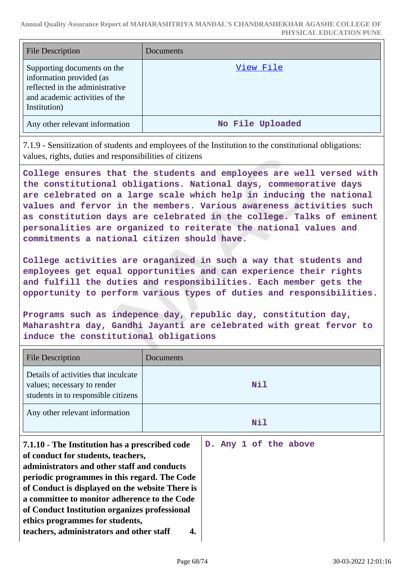| <b>File Description</b>                                                                                                                      | Documents        |
|----------------------------------------------------------------------------------------------------------------------------------------------|------------------|
| Supporting documents on the<br>information provided (as<br>reflected in the administrative<br>and academic activities of the<br>Institution) | View File        |
| Any other relevant information                                                                                                               | No File Uploaded |

7.1.9 - Sensitization of students and employees of the Institution to the constitutional obligations: values, rights, duties and responsibilities of citizens

**College ensures that the students and employees are well versed with the constitutional obligations. National days, commemorative days are celebrated on a large scale which help in inducing the national values and fervor in the members. Various awareness activities such as constitution days are celebrated in the college. Talks of eminent personalities are organized to reiterate the national values and commitments a national citizen should have.**

**College activities are oraganized in such a way that students and employees get equal opportunities and can experience their rights and fulfill the duties and responsibilities. Each member gets the opportunity to perform various types of duties and responsibilities.**

**Programs such as indepence day, republic day, constitution day, Maharashtra day, Gandhi Jayanti are celebrated with great fervor to induce the constitutional obligations**

| <b>File Description</b>                                                                                                                                                                                                                                                                                                                                                                                                | Documents |                       |
|------------------------------------------------------------------------------------------------------------------------------------------------------------------------------------------------------------------------------------------------------------------------------------------------------------------------------------------------------------------------------------------------------------------------|-----------|-----------------------|
| Details of activities that inculcate<br>values; necessary to render<br>students in to responsible citizens                                                                                                                                                                                                                                                                                                             | Nil       |                       |
| Any other relevant information                                                                                                                                                                                                                                                                                                                                                                                         |           | Nil                   |
| 7.1.10 - The Institution has a prescribed code<br>of conduct for students, teachers,<br>administrators and other staff and conducts<br>periodic programmes in this regard. The Code<br>of Conduct is displayed on the website There is<br>a committee to monitor adherence to the Code<br>of Conduct Institution organizes professional<br>ethics programmes for students,<br>teachers, administrators and other staff | 4.        | D. Any 1 of the above |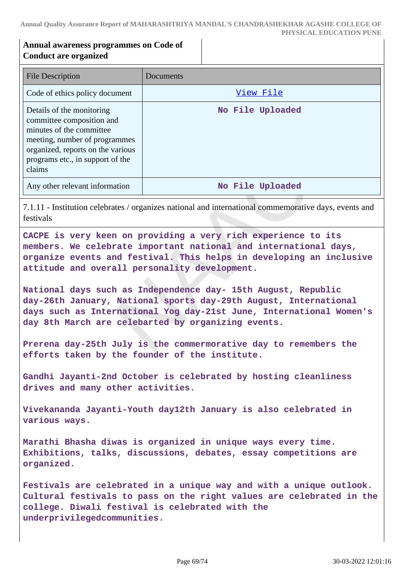## **Annual awareness programmes on Code of Conduct are organized**

| File Description                                                                                                                                                                                       | Documents        |
|--------------------------------------------------------------------------------------------------------------------------------------------------------------------------------------------------------|------------------|
| Code of ethics policy document                                                                                                                                                                         | View File        |
| Details of the monitoring<br>committee composition and<br>minutes of the committee<br>meeting, number of programmes<br>organized, reports on the various<br>programs etc., in support of the<br>claims | No File Uploaded |
| Any other relevant information                                                                                                                                                                         | No File Uploaded |

7.1.11 - Institution celebrates / organizes national and international commemorative days, events and festivals

**CACPE is very keen on providing a very rich experience to its members. We celebrate important national and international days, organize events and festival. This helps in developing an inclusive attitude and overall personality development.**

**National days such as Independence day- 15th August, Republic day-26th January, National sports day-29th August, International days such as International Yog day-21st June, International Women's day 8th March are celebarted by organizing events.**

**Prerena day-25th July is the commermorative day to remembers the efforts taken by the founder of the institute.**

**Gandhi Jayanti-2nd October is celebrated by hosting cleanliness drives and many other activities.**

**Vivekananda Jayanti-Youth day12th January is also celebrated in various ways.**

**Marathi Bhasha diwas is organized in unique ways every time. Exhibitions, talks, discussions, debates, essay competitions are organized.**

**Festivals are celebrated in a unique way and with a unique outlook. Cultural festivals to pass on the right values are celebrated in the college. Diwali festival is celebrated with the underprivilegedcommunities.**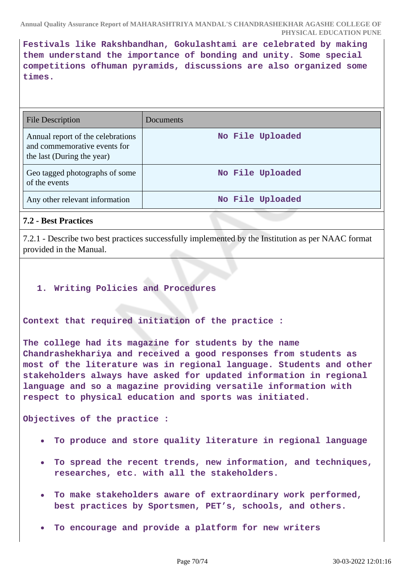**Festivals like Rakshbandhan, Gokulashtami are celebrated by making them understand the importance of bonding and unity. Some special competitions ofhuman pyramids, discussions are also organized some times.**

| <b>File Description</b>                                                                         | Documents        |
|-------------------------------------------------------------------------------------------------|------------------|
| Annual report of the celebrations<br>and commemorative events for<br>the last (During the year) | No File Uploaded |
| Geo tagged photographs of some<br>of the events                                                 | No File Uploaded |
| Any other relevant information                                                                  | No File Uploaded |

## **7.2 - Best Practices**

7.2.1 - Describe two best practices successfully implemented by the Institution as per NAAC format provided in the Manual.

### **1. Writing Policies and Procedures**

### **Context that required initiation of the practice :**

**The college had its magazine for students by the name Chandrashekhariya and received a good responses from students as most of the literature was in regional language. Students and other stakeholders always have asked for updated information in regional language and so a magazine providing versatile information with respect to physical education and sports was initiated.**

**Objectives of the practice :**

- **To produce and store quality literature in regional language**
- **To spread the recent trends, new information, and techniques, researches, etc. with all the stakeholders.**
- **To make stakeholders aware of extraordinary work performed, best practices by Sportsmen, PET's, schools, and others.**
- **To encourage and provide a platform for new writers**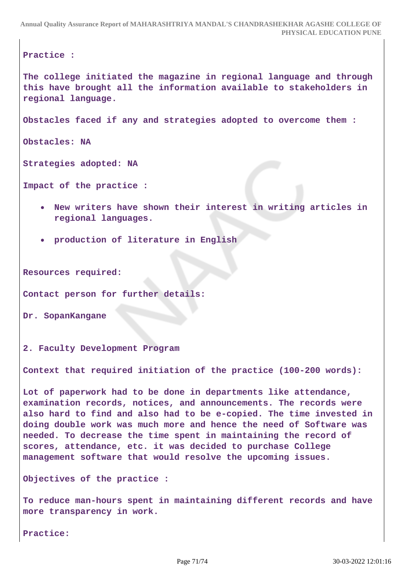**Practice :**

**The college initiated the magazine in regional language and through this have brought all the information available to stakeholders in regional language.**

**Obstacles faced if any and strategies adopted to overcome them :**

**Obstacles: NA**

**Strategies adopted: NA**

```
Impact of the practice :
```
- **New writers have shown their interest in writing articles in regional languages.**
- **production of literature in English**

**Resources required:**

**Contact person for further details:**

**Dr. SopanKangane**

**2. Faculty Development Program**

**Context that required initiation of the practice (100-200 words):**

**Lot of paperwork had to be done in departments like attendance, examination records, notices, and announcements. The records were also hard to find and also had to be e-copied. The time invested in doing double work was much more and hence the need of Software was needed. To decrease the time spent in maintaining the record of scores, attendance, etc. it was decided to purchase College management software that would resolve the upcoming issues.**

**Objectives of the practice :**

**To reduce man-hours spent in maintaining different records and have more transparency in work.**

**Practice:**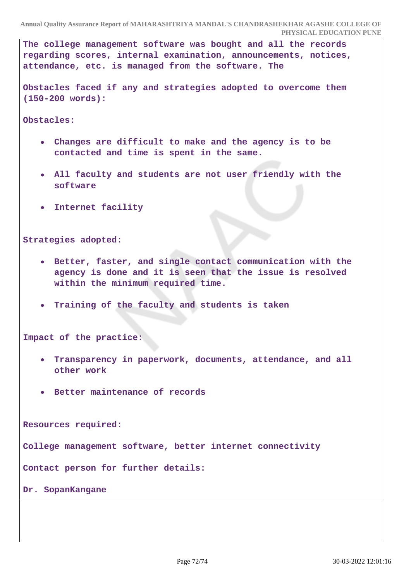**The college management software was bought and all the records regarding scores, internal examination, announcements, notices, attendance, etc. is managed from the software. The**

**Obstacles faced if any and strategies adopted to overcome them (150-200 words):**

**Obstacles:**

- **Changes are difficult to make and the agency is to be contacted and time is spent in the same.**
- **All faculty and students are not user friendly with the software**
- **Internet facility**

**Strategies adopted:**

- **Better, faster, and single contact communication with the agency is done and it is seen that the issue is resolved within the minimum required time.**
- **Training of the faculty and students is taken**

**Impact of the practice:**

- **Transparency in paperwork, documents, attendance, and all other work**
- **Better maintenance of records**

**Resources required:**

**College management software, better internet connectivity**

**Contact person for further details:**

**Dr. SopanKangane**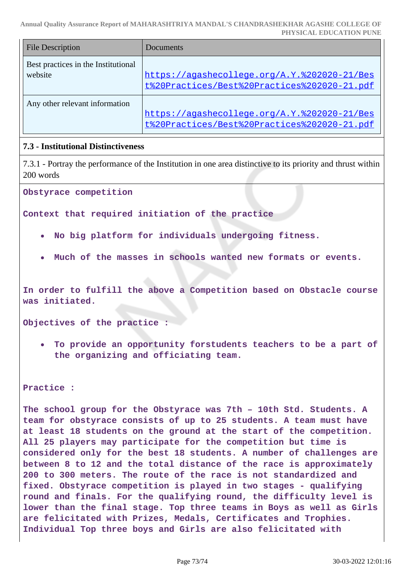**Annual Quality Assurance Report of MAHARASHTRIYA MANDAL'S CHANDRASHEKHAR AGASHE COLLEGE OF PHYSICAL EDUCATION PUNE**

| <b>File Description</b>                        | Documents                                                                                    |
|------------------------------------------------|----------------------------------------------------------------------------------------------|
| Best practices in the Institutional<br>website | https://agashecollege.org/A.Y.%202020-21/Bes<br>t%20Practices/Best%20Practices%202020-21.pdf |
| Any other relevant information                 | https://aqashecollege.org/A.Y.%202020-21/Bes<br>t%20Practices/Best%20Practices%202020-21.pdf |

# **7.3 - Institutional Distinctiveness**

7.3.1 - Portray the performance of the Institution in one area distinctive to its priority and thrust within 200 words

**Obstyrace competition**

**Context that required initiation of the practice**

- **No big platform for individuals undergoing fitness.**
- **Much of the masses in schools wanted new formats or events.**

**In order to fulfill the above a Competition based on Obstacle course was initiated.**

**Objectives of the practice :**

**To provide an opportunity forstudents teachers to be a part of the organizing and officiating team.**

**Practice :**

**The school group for the Obstyrace was 7th – 10th Std. Students. A team for obstyrace consists of up to 25 students. A team must have at least 18 students on the ground at the start of the competition. All 25 players may participate for the competition but time is considered only for the best 18 students. A number of challenges are between 8 to 12 and the total distance of the race is approximately 200 to 300 meters. The route of the race is not standardized and fixed. Obstyrace competition is played in two stages - qualifying round and finals. For the qualifying round, the difficulty level is lower than the final stage. Top three teams in Boys as well as Girls are felicitated with Prizes, Medals, Certificates and Trophies. Individual Top three boys and Girls are also felicitated with**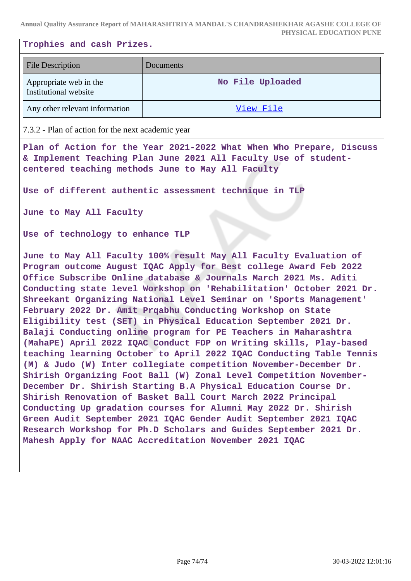**Annual Quality Assurance Report of MAHARASHTRIYA MANDAL'S CHANDRASHEKHAR AGASHE COLLEGE OF PHYSICAL EDUCATION PUNE**

### **Trophies and cash Prizes.**

| <b>File Description</b>                         | <b>Documents</b> |
|-------------------------------------------------|------------------|
| Appropriate web in the<br>Institutional website | No File Uploaded |
| Any other relevant information                  | View File        |

#### 7.3.2 - Plan of action for the next academic year

**Plan of Action for the Year 2021-2022 What When Who Prepare, Discuss & Implement Teaching Plan June 2021 All Faculty Use of studentcentered teaching methods June to May All Faculty** 

**Use of different authentic assessment technique in TLP**

**June to May All Faculty** 

**Use of technology to enhance TLP**

**June to May All Faculty 100% result May All Faculty Evaluation of Program outcome August IQAC Apply for Best college Award Feb 2022 Office Subscribe Online database & Journals March 2021 Ms. Aditi Conducting state level Workshop on 'Rehabilitation' October 2021 Dr. Shreekant Organizing National Level Seminar on 'Sports Management' February 2022 Dr. Amit Prqabhu Conducting Workshop on State Eligibility test (SET) in Physical Education September 2021 Dr. Balaji Conducting online program for PE Teachers in Maharashtra (MahaPE) April 2022 IQAC Conduct FDP on Writing skills, Play-based teaching learning October to April 2022 IQAC Conducting Table Tennis (M) & Judo (W) Inter collegiate competition November-December Dr. Shirish Organizing Foot Ball (W) Zonal Level Competition November-December Dr. Shirish Starting B.A Physical Education Course Dr. Shirish Renovation of Basket Ball Court March 2022 Principal Conducting Up gradation courses for Alumni May 2022 Dr. Shirish Green Audit September 2021 IQAC Gender Audit September 2021 IQAC Research Workshop for Ph.D Scholars and Guides September 2021 Dr. Mahesh Apply for NAAC Accreditation November 2021 IQAC**